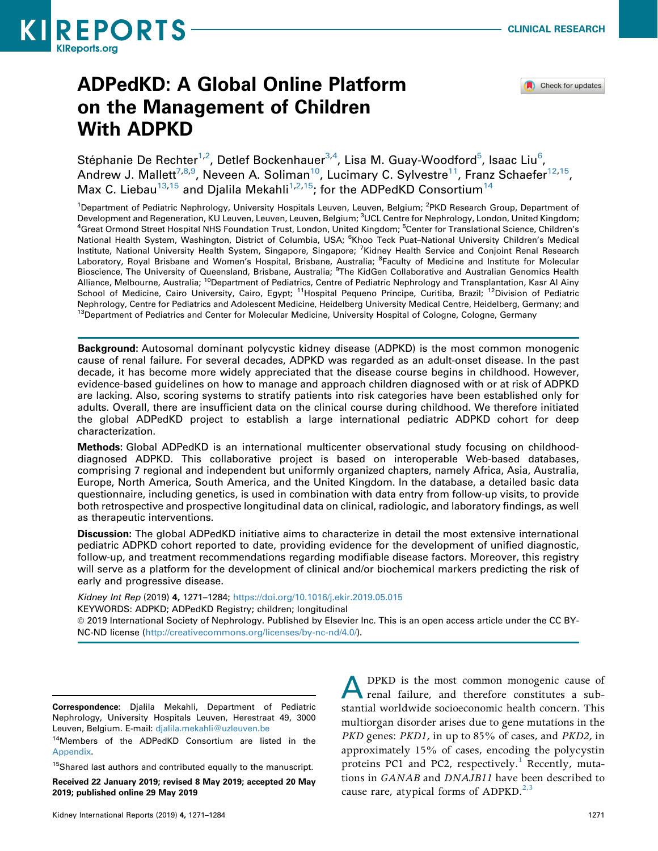<span id="page-0-0"></span>

# ADPedKD: A Global Online Platform on the Management of Children With ADPKD



Stéphanie De Rechter $^{1,2}$ , Detlef Bockenhauer $^{3,4}$ , Lisa M. Guay-Woodford $^5$ , Isaac Liu $^6$ , Andrew J. Mallett<sup>7,8,9</sup>, Neveen A. Soliman<sup>10</sup>, Lucimary C. Sylvestre<sup>11</sup>, Franz Schaefer<sup>12,15</sup>, Max C. Liebau $^{13,15}$  and Djalila Mekahli $^{1,2,15}$ ; for the ADPedKD Consortium $^{14}$ 

<sup>1</sup>Department of Pediatric Nephrology, University Hospitals Leuven, Leuven, Belgium; <sup>2</sup>PKD Research Group, Department of Development and Regeneration, KU Leuven, Leuven, Leuven, Belgium; <sup>3</sup>UCL Centre for Nephrology, London, United Kingdom;<br><sup>4</sup>Great Ormond Street Hospital NHS Equndation Trust, London, United Kingdom; <sup>5</sup>Center for Translatio Great Ormond Street Hospital NHS Foundation Trust, London, United Kingdom; <sup>5</sup>Center for Translational Science, Children's National Health System, Washington, District of Columbia, USA; <sup>6</sup>Khoo Teck Puat-National University Children's Medical Institute, National University Health System, Singapore, Singapore; <sup>7</sup>Kidney Health Service and Conjoint Renal Research Laboratory, Royal Brisbane and Women's Hospital, Brisbane, Australia; <sup>8</sup>Faculty of Medicine and Institute for Molecular<br>Bioscience, The University of Queensland, Brisbane, Australia; <sup>9</sup>The KidGen Collaborative and Austra Alliance, Melbourne, Australia; 10Department of Pediatrics, Centre of Pediatric Nephrology and Transplantation, Kasr Al Ainy School of Medicine, Cairo University, Cairo, Egypt; <sup>11</sup>Hospital Pequeno Príncipe, Curitiba, Brazil; <sup>12</sup>Division of Pediatric Nephrology, Centre for Pediatrics and Adolescent Medicine, Heidelberg University Medical Centre, Heidelberg, Germany; and <sup>13</sup>Department of Pediatrics and Center for Molecular Medicine, University Hospital of Cologne, Cologne, Germany

Background: Autosomal dominant polycystic kidney disease (ADPKD) is the most common monogenic cause of renal failure. For several decades, ADPKD was regarded as an adult-onset disease. In the past decade, it has become more widely appreciated that the disease course begins in childhood. However, evidence-based guidelines on how to manage and approach children diagnosed with or at risk of ADPKD are lacking. Also, scoring systems to stratify patients into risk categories have been established only for adults. Overall, there are insufficient data on the clinical course during childhood. We therefore initiated the global ADPedKD project to establish a large international pediatric ADPKD cohort for deep characterization.

Methods: Global ADPedKD is an international multicenter observational study focusing on childhooddiagnosed ADPKD. This collaborative project is based on interoperable Web-based databases, comprising 7 regional and independent but uniformly organized chapters, namely Africa, Asia, Australia, Europe, North America, South America, and the United Kingdom. In the database, a detailed basic data questionnaire, including genetics, is used in combination with data entry from follow-up visits, to provide both retrospective and prospective longitudinal data on clinical, radiologic, and laboratory findings, as well as therapeutic interventions.

Discussion: The global ADPedKD initiative aims to characterize in detail the most extensive international pediatric ADPKD cohort reported to date, providing evidence for the development of unified diagnostic, follow-up, and treatment recommendations regarding modifiable disease factors. Moreover, this registry will serve as a platform for the development of clinical and/or biochemical markers predicting the risk of early and progressive disease.

Kidney Int Rep (2019) 4, 1271–1284; <https://doi.org/10.1016/j.ekir.2019.05.015> KEYWORDS: ADPKD; ADPedKD Registry; children; longitudinal ª 2019 International Society of Nephrology. Published by Elsevier Inc. This is an open access article under the CC BY-NC-ND license [\(http://creativecommons.org/licenses/by-nc-nd/4.0/](http://creativecommons.org/licenses/by-nc-nd/4.0/)).

Correspondence: Djalila Mekahli, Department of Pediatric Nephrology, University Hospitals Leuven, Herestraat 49, 3000 Leuven, Belgium. E-mail: [djalila.mekahli@uzleuven.be](mailto:djalila.mekahli@uzleuven.be)

14Members of the ADPedKD Consortium are listed in the Appendix.

Received 22 January 2019; revised 8 May 2019; accepted 20 May 2019; published online 29 May 2019

ADPKD is the most common monogenic cause of renal failure, and therefore constitutes a substantial worldwide socioeconomic health concern. This multiorgan disorder arises due to gene mutations in the PKD genes: PKD1, in up to 85% of cases, and PKD2, in approximately 15% of cases, encoding the polycystin proteins PC[1](#page-10-0) and PC2, respectively.<sup>1</sup> Recently, mutations in GANAB and DNAJB11 have been described to cause rare, atypical forms of ADPKD. $^{2,3}$ 

<sup>&</sup>lt;sup>15</sup>Shared last authors and contributed equally to the manuscript.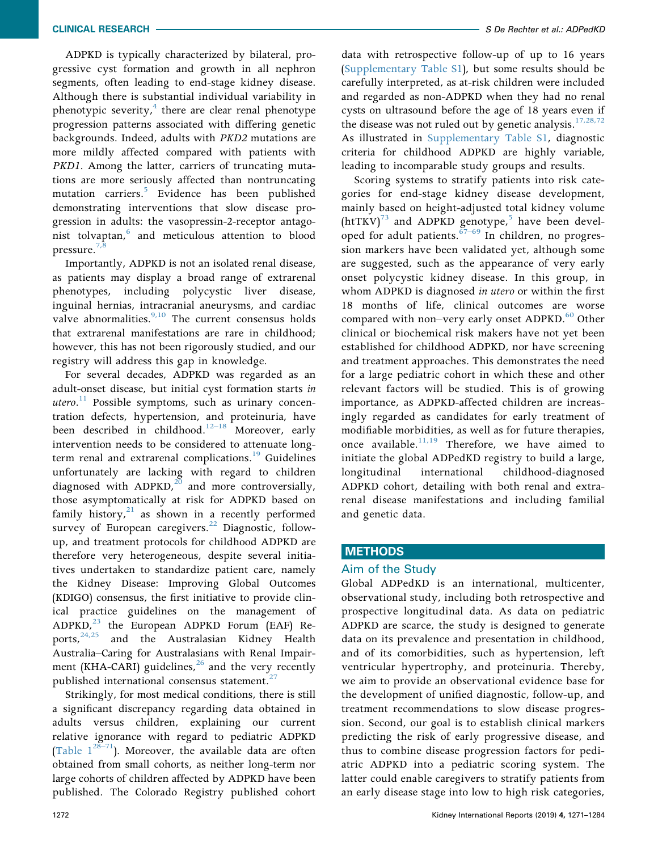ADPKD is typically characterized by bilateral, progressive cyst formation and growth in all nephron segments, often leading to end-stage kidney disease. Although there is substantial individual variability in phenotypic severity, $4$  there are clear renal phenotype progression patterns associated with differing genetic backgrounds. Indeed, adults with PKD2 mutations are more mildly affected compared with patients with PKD1. Among the latter, carriers of truncating mutations are more seriously affected than nontruncating mutation carriers.<sup>[5](#page-10-0)</sup> Evidence has been published demonstrating interventions that slow disease progression in adults: the vasopressin-2-receptor antago-nist tolvaptan,<sup>[6](#page-10-0)</sup> and meticulous attention to blood pressure. $^{7,8}$ 

Importantly, ADPKD is not an isolated renal disease, as patients may display a broad range of extrarenal phenotypes, including polycystic liver disease, inguinal hernias, intracranial aneurysms, and cardiac valve abnormalities. $9,10$  The current consensus holds that extrarenal manifestations are rare in childhood; however, this has not been rigorously studied, and our registry will address this gap in knowledge.

For several decades, ADPKD was regarded as an adult-onset disease, but initial cyst formation starts in utero.<sup>[11](#page-10-0)</sup> Possible symptoms, such as urinary concentration defects, hypertension, [and](#page-11-0) proteinuria, have been described in childhood.<sup>12–18</sup> Moreover, early intervention needs to be considered to attenuate long-term renal and extrarenal complications.<sup>[19](#page-11-0)</sup> Guidelines unfortunately are lacking with regard to children diagnosed with ADPKD, $^{20}$  $^{20}$  $^{20}$  and more controversially, those asymptomatically at risk for ADPKD based on family history, $21$  as shown in a recently performed survey of European caregivers.<sup>[22](#page-11-0)</sup> Diagnostic, followup, and treatment protocols for childhood ADPKD are therefore very heterogeneous, despite several initiatives undertaken to standardize patient care, namely the Kidney Disease: Improving Global Outcomes (KDIGO) consensus, the first initiative to provide clinical practice guidelines on the management of  $ADPKD<sup>23</sup>$  $ADPKD<sup>23</sup>$  $ADPKD<sup>23</sup>$  the European ADPKD Forum (EAF) Re-ports,<sup>[24,25](#page-11-0)</sup> and the Australasian Kidney Health Australia–Caring for Australasians with Renal Impairment (KHA-CARI) guidelines,  $26$  and the very recently published international consensus statement.<sup>[27](#page-11-0)</sup>

Strikingly, for most medical conditions, there is still a significant discrepancy regarding data obtained in adults versus children, explaining our current relative ignorance with regard to pediatric ADPKD (Table  $1^{28-71}$ ). Moreover, the available data are often obtained from small cohorts, as neither long-term nor large cohorts of children affected by ADPKD have been published. The Colorado Registry published cohort

data with retrospective follow-up of up to 16 years ([Supplementary Table S1\)](#page-0-0), but some results should be carefully interpreted, as at-risk children were included and regarded as non-ADPKD when they had no renal cysts on ultrasound before the age of 18 years even if the disease was not ruled out by genetic analysis.<sup>17,28,72</sup> As illustrated in [Supplementary Table S1,](#page-0-0) diagnostic criteria for childhood ADPKD are highly variable, leading to incomparable study groups and results.

Scoring systems to stratify patients into risk categories for end-stage kidney disease development, mainly based on height-adjusted total kidney volume  $(htrKV)^{73}$  $(htrKV)^{73}$  $(htrKV)^{73}$  and ADPKD [geno](#page-12-0)type,<sup>[5](#page-10-0)</sup> have been developed for adult patients.  $67-69$  In children, no progression markers have been validated yet, although some are suggested, such as the appearance of very early onset polycystic kidney disease. In this group, in whom ADPKD is diagnosed in utero or within the first 18 months of life, clinical outcomes are worse compared with non–very early onset  $ADPKD<sup>60</sup>$  $ADPKD<sup>60</sup>$  $ADPKD<sup>60</sup>$  Other clinical or biochemical risk makers have not yet been established for childhood ADPKD, nor have screening and treatment approaches. This demonstrates the need for a large pediatric cohort in which these and other relevant factors will be studied. This is of growing importance, as ADPKD-affected children are increasingly regarded as candidates for early treatment of modifiable morbidities, as well as for future therapies, once available. $11,19$  Therefore, we have aimed to initiate the global ADPedKD registry to build a large, longitudinal international childhood-diagnosed ADPKD cohort, detailing with both renal and extrarenal disease manifestations and including familial and genetic data.

# **METHODS**

# Aim of the Study

Global ADPedKD is an international, multicenter, observational study, including both retrospective and prospective longitudinal data. As data on pediatric ADPKD are scarce, the study is designed to generate data on its prevalence and presentation in childhood, and of its comorbidities, such as hypertension, left ventricular hypertrophy, and proteinuria. Thereby, we aim to provide an observational evidence base for the development of unified diagnostic, follow-up, and treatment recommendations to slow disease progression. Second, our goal is to establish clinical markers predicting the risk of early progressive disease, and thus to combine disease progression factors for pediatric ADPKD into a pediatric scoring system. The latter could enable caregivers to stratify patients from an early disease stage into low to high risk categories,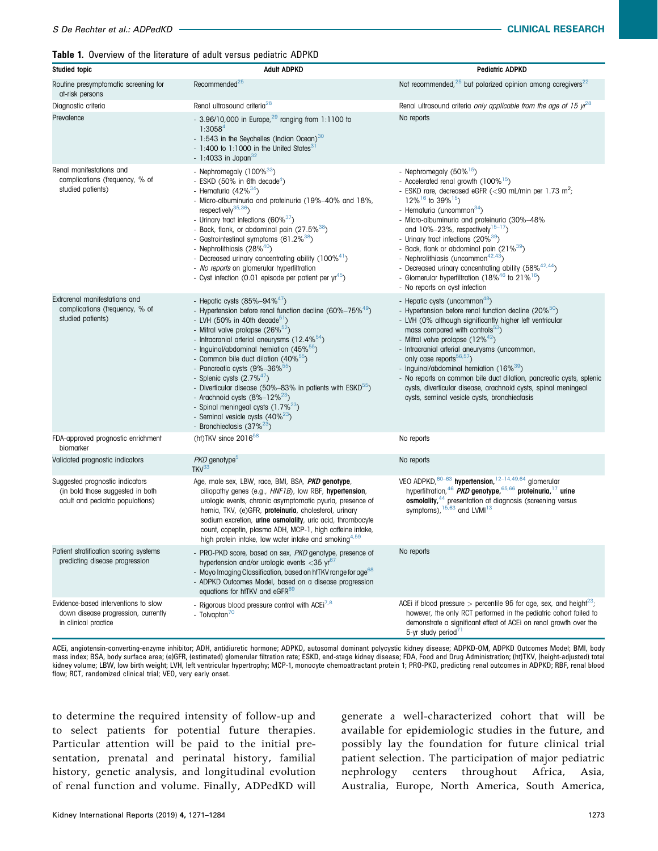<span id="page-2-0"></span>

| Table 1. Overview of the literature of adult versus pediatric ADPKD |  |  |  |
|---------------------------------------------------------------------|--|--|--|
|                                                                     |  |  |  |

| <b>Studied topic</b>                                                                                    | <b>Adult ADPKD</b>                                                                                                                                                                                                                                                                                                                                                                                                                                                                                                                                                                                                                                                                                                            | <b>Pediatric ADPKD</b>                                                                                                                                                                                                                                                                                                                                                                                                                                                                                                                                                                                                                                                                  |
|---------------------------------------------------------------------------------------------------------|-------------------------------------------------------------------------------------------------------------------------------------------------------------------------------------------------------------------------------------------------------------------------------------------------------------------------------------------------------------------------------------------------------------------------------------------------------------------------------------------------------------------------------------------------------------------------------------------------------------------------------------------------------------------------------------------------------------------------------|-----------------------------------------------------------------------------------------------------------------------------------------------------------------------------------------------------------------------------------------------------------------------------------------------------------------------------------------------------------------------------------------------------------------------------------------------------------------------------------------------------------------------------------------------------------------------------------------------------------------------------------------------------------------------------------------|
| Routine presymptomatic screening for<br>at-risk persons                                                 | Recommended <sup>25</sup>                                                                                                                                                                                                                                                                                                                                                                                                                                                                                                                                                                                                                                                                                                     | Not recommended, $25$ but polarized opinion among caregivers $22$                                                                                                                                                                                                                                                                                                                                                                                                                                                                                                                                                                                                                       |
| Diagnostic criteria                                                                                     | Renal ultrasound criteria <sup>28</sup>                                                                                                                                                                                                                                                                                                                                                                                                                                                                                                                                                                                                                                                                                       | Renal ultrasound criteria only applicable from the age of 15 yr <sup>28</sup>                                                                                                                                                                                                                                                                                                                                                                                                                                                                                                                                                                                                           |
| Prevalence                                                                                              | - 3.96/10,000 in Europe, $29$ ranging from 1:1100 to<br>$1:3058^{4}$<br>- 1:543 in the Seychelles (Indian Ocean) <sup>30</sup><br>$-1:400$ to 1:1000 in the United States <sup>31</sup><br>- 1:4033 in Japan <sup>32</sup>                                                                                                                                                                                                                                                                                                                                                                                                                                                                                                    | No reports                                                                                                                                                                                                                                                                                                                                                                                                                                                                                                                                                                                                                                                                              |
| Renal manifestations and<br>complications (frequency, % of<br>studied patients)                         | - Nephromegaly (100% <sup>33</sup> )<br>- ESKD $(50\%$ in 6th decade <sup>4</sup> )<br>- Hematuria $(42\%^{34})$<br>- Micro-albuminuria and proteinuria (19%-40% and 18%,<br>respectively $35,36$ )<br>- Urinary tract infections (60% <sup>37</sup> )<br>- Back, flank, or abdominal pain (27.5% <sup>38</sup> )<br>- Gastrointestinal symptoms (61.2% <sup>38</sup> )<br>- Nephrolithiasis (28% <sup>40</sup> )<br>- Decreased urinary concentrating ability (100% <sup>41</sup> )<br>- No reports on glomerular hyperfiltration<br>- Cyst infection (0.01 episode per patient per $yr^{45}$ )                                                                                                                              | - Nephromegaly (50% <sup>15</sup> )<br>- Accelerated renal growth (100% <sup>15</sup> )<br>- ESKD rare, decreased eGFR (<90 mL/min per 1.73 m <sup>2</sup> ;<br>$12\%$ <sup>16</sup> to 39% <sup>15</sup> )<br>- Hematuria (uncommon <sup>34</sup> )<br>- Micro-albuminuria and proteinuria (30%-48%<br>and $10\% - 23\%$ , respectively $15-17$ )<br>- Urinary tract infections (20% <sup>39</sup> )<br>- Back, flank or abdominal pain (21% <sup>39</sup> )<br>- Nephrolithiasis (uncommon $42,43$ )<br>- Decreased urinary concentrating ability (58% <sup>42,44</sup> )<br>- Glomerular hyperfiltration (18% <sup>46</sup> to 21% <sup>16</sup> )<br>- No reports on cyst infection |
| Extrarenal manifestations and<br>complications (frequency, % of<br>studied patients)                    | - Hepatic cysts $(85\% - 94\%^{4})$<br>- Hypertension before renal function decline (60%-75% <sup>49</sup> )<br>- LVH (50% in 40th decade <sup>51</sup> )<br>- Mitral valve prolapse (26% <sup>52</sup> )<br>- Intracranial arterial aneurysms (12.4% <sup>54</sup> )<br>- Inguinal/abdominal herniation (45% <sup>55</sup> )<br>- Common bile duct dilation (40% <sup>55</sup> )<br>- Pancreatic cysts (9%-36% <sup>55</sup> )<br>- Splenic cysts $(2.7\%^{4})$<br>- Diverticular disease (50%-83% in patients with ESKD <sup>55</sup> )<br>- Arachnoid cysts $(8\% - 12\%^{23})$<br>- Spinal meningeal cysts (1.7% <sup>23</sup> )<br>- Seminal vesicle cysts (40% <sup>23</sup> )<br>- Bronchiectasis (37% <sup>23</sup> ) | - Hepatic cysts (uncommon <sup>48</sup> )<br>- Hypertension before renal function decline (20% <sup>50</sup> )<br>- LVH (0% although significantly higher left ventricular<br>mass compared with controls <sup>53</sup> )<br>- Mitral valve prolapse (12% <sup>42</sup> )<br>- Intracranial arterial aneurysms (uncommon,<br>only case reports <sup>56,57</sup> )<br>- Inguinal/abdominal herniation (16% <sup>39</sup> )<br>- No reports on common bile duct dilation, pancreatic cysts, splenic<br>cysts, diverticular disease, arachnoid cysts, spinal meningeal<br>cysts, seminal vesicle cysts, bronchiectasis                                                                     |
| FDA-approved prognostic enrichment<br>biomarker                                                         | (ht)TKV since 2016 <sup>58</sup>                                                                                                                                                                                                                                                                                                                                                                                                                                                                                                                                                                                                                                                                                              | No reports                                                                                                                                                                                                                                                                                                                                                                                                                                                                                                                                                                                                                                                                              |
| Validated prognostic indicators                                                                         | PKD genotype <sup>5</sup><br>TK $V^{33}$                                                                                                                                                                                                                                                                                                                                                                                                                                                                                                                                                                                                                                                                                      | No reports                                                                                                                                                                                                                                                                                                                                                                                                                                                                                                                                                                                                                                                                              |
| Suggested prognostic indicators<br>(in bold those suggested in both<br>adult and pediatric populations) | Age, male sex, LBW, race, BMI, BSA, PKD genotype,<br>ciliopathy genes (e.g., <i>HNF1B</i> ), low RBF, <b>hypertension</b> ,<br>urologic events, chronic asymptomatic pyuria, presence of<br>hernia, TKV, (e)GFR, proteinuria, cholesterol, urinary<br>sodium excretion, <b>urine osmolality</b> , uric acid, thrombocyte<br>count, copeptin, plasma ADH, MCP-1, high caffeine intake,<br>high protein intake, low water intake and smoking <sup>4,59</sup>                                                                                                                                                                                                                                                                    | VEO ADPKD, 60-63 hypertension, 12-14,49,64 glomerular<br>hyperfiltration, <sup>46</sup> PKD genotype, 65,66 proteinuria, <sup>17</sup> urine<br>osmolality, <sup>44</sup> presentation at diagnosis (screening versus<br>symptoms), 15,63 and LVMI <sup>13</sup>                                                                                                                                                                                                                                                                                                                                                                                                                        |
| Patient stratification scoring systems<br>predicting disease progression                                | - PRO-PKD score, based on sex, PKD genotype, presence of<br>hypertension and/or urologic events $<$ 35 yr $67$<br>- Mayo Imaging Classification, based on htTKV range for age <sup>68</sup><br>- ADPKD Outcomes Model, based on a disease progression<br>equations for htTKV and eGFR <sup>69</sup>                                                                                                                                                                                                                                                                                                                                                                                                                           | No reports                                                                                                                                                                                                                                                                                                                                                                                                                                                                                                                                                                                                                                                                              |
| Evidence-based interventions to slow<br>down disease progression, currently<br>in clinical practice     | - Rigorous blood pressure control with ACEi <sup>7,8</sup><br>- Tolvaptan <sup>70</sup>                                                                                                                                                                                                                                                                                                                                                                                                                                                                                                                                                                                                                                       | ACEI if blood pressure > percentile 95 for age, sex, and height <sup>23</sup> ;<br>however, the only RCT performed in the pediatric cohort failed to<br>demonstrate a significant effect of ACEi on renal growth over the<br>5-yr study period <sup>71</sup>                                                                                                                                                                                                                                                                                                                                                                                                                            |

ACEi, angiotensin-converting-enzyme inhibitor; ADH, antidiuretic hormone; ADPKD, autosomal dominant polycystic kidney disease; ADPKD-OM, ADPKD Outcomes Model; BMI, body mass index; BSA, body surface area; (e)GFR, (estimated) glomerular filtration rate; ESKD, end-stage kidney disease; FDA, Food and Drug Administration; (ht)TKV, (height-adjusted) total kidney volume; LBW, low birth weight; LVH, left ventricular hypertrophy; MCP-1, monocyte chemoattractant protein 1; PRO-PKD, predicting renal outcomes in ADPKD; RBF, renal blood flow; RCT, randomized clinical trial; VEO, very early onset.

to determine the required intensity of follow-up and to select patients for potential future therapies. Particular attention will be paid to the initial presentation, prenatal and perinatal history, familial history, genetic analysis, and longitudinal evolution of renal function and volume. Finally, ADPedKD will generate a well-characterized cohort that will be available for epidemiologic studies in the future, and possibly lay the foundation for future clinical trial patient selection. The participation of major pediatric nephrology centers throughout Africa, Asia, Australia, Europe, North America, South America,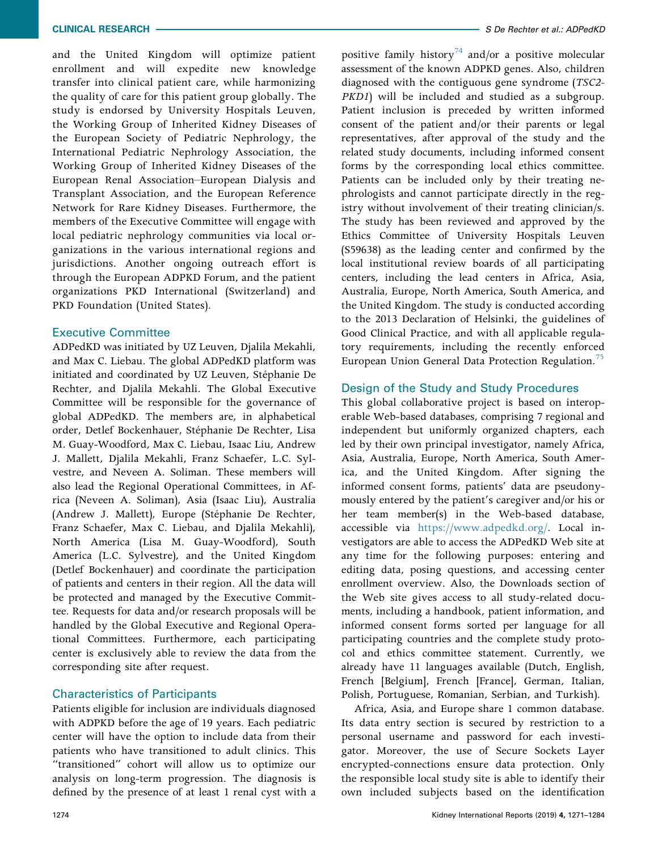and the United Kingdom will optimize patient enrollment and will expedite new knowledge transfer into clinical patient care, while harmonizing the quality of care for this patient group globally. The study is endorsed by University Hospitals Leuven, the Working Group of Inherited Kidney Diseases of the European Society of Pediatric Nephrology, the International Pediatric Nephrology Association, the Working Group of Inherited Kidney Diseases of the European Renal Association–European Dialysis and Transplant Association, and the European Reference Network for Rare Kidney Diseases. Furthermore, the members of the Executive Committee will engage with local pediatric nephrology communities via local organizations in the various international regions and jurisdictions. Another ongoing outreach effort is through the European ADPKD Forum, and the patient organizations PKD International (Switzerland) and PKD Foundation (United States).

#### Executive Committee

ADPedKD was initiated by UZ Leuven, Djalila Mekahli, and Max C. Liebau. The global ADPedKD platform was initiated and coordinated by UZ Leuven, Stéphanie De Rechter, and Djalila Mekahli. The Global Executive Committee will be responsible for the governance of global ADPedKD. The members are, in alphabetical order, Detlef Bockenhauer, Stéphanie De Rechter, Lisa M. Guay-Woodford, Max C. Liebau, Isaac Liu, Andrew J. Mallett, Djalila Mekahli, Franz Schaefer, L.C. Sylvestre, and Neveen A. Soliman. These members will also lead the Regional Operational Committees, in Africa (Neveen A. Soliman), Asia (Isaac Liu), Australia (Andrew J. Mallett), Europe (Stéphanie De Rechter, Franz Schaefer, Max C. Liebau, and Djalila Mekahli), North America (Lisa M. Guay-Woodford), South America (L.C. Sylvestre), and the United Kingdom (Detlef Bockenhauer) and coordinate the participation of patients and centers in their region. All the data will be protected and managed by the Executive Committee. Requests for data and/or research proposals will be handled by the Global Executive and Regional Operational Committees. Furthermore, each participating center is exclusively able to review the data from the corresponding site after request.

#### Characteristics of Participants

Patients eligible for inclusion are individuals diagnosed with ADPKD before the age of 19 years. Each pediatric center will have the option to include data from their patients who have transitioned to adult clinics. This "transitioned" cohort will allow us to optimize our analysis on long-term progression. The diagnosis is defined by the presence of at least 1 renal cyst with a

positive family history<sup>[74](#page-12-0)</sup> and/or a positive molecular assessment of the known ADPKD genes. Also, children diagnosed with the contiguous gene syndrome (TSC2- PKD1) will be included and studied as a subgroup. Patient inclusion is preceded by written informed consent of the patient and/or their parents or legal representatives, after approval of the study and the related study documents, including informed consent forms by the corresponding local ethics committee. Patients can be included only by their treating nephrologists and cannot participate directly in the registry without involvement of their treating clinician/s. The study has been reviewed and approved by the Ethics Committee of University Hospitals Leuven (S59638) as the leading center and confirmed by the local institutional review boards of all participating centers, including the lead centers in Africa, Asia, Australia, Europe, North America, South America, and the United Kingdom. The study is conducted according to the 2013 Declaration of Helsinki, the guidelines of Good Clinical Practice, and with all applicable regulatory requirements, including the recently enforced European Union General Data Protection Regulation.<sup>[75](#page-12-0)</sup>

### Design of the Study and Study Procedures

This global collaborative project is based on interoperable Web-based databases, comprising 7 regional and independent but uniformly organized chapters, each led by their own principal investigator, namely Africa, Asia, Australia, Europe, North America, South America, and the United Kingdom. After signing the informed consent forms, patients' data are pseudonymously entered by the patient's caregiver and/or his or her team member(s) in the Web-based database, accessible via [https://www.adpedkd.org/.](https://www.adpedkd.org/) Local investigators are able to access the ADPedKD Web site at any time for the following purposes: entering and editing data, posing questions, and accessing center enrollment overview. Also, the Downloads section of the Web site gives access to all study-related documents, including a handbook, patient information, and informed consent forms sorted per language for all participating countries and the complete study protocol and ethics committee statement. Currently, we already have 11 languages available (Dutch, English, French [Belgium], French [France], German, Italian, Polish, Portuguese, Romanian, Serbian, and Turkish).

Africa, Asia, and Europe share 1 common database. Its data entry section is secured by restriction to a personal username and password for each investigator. Moreover, the use of Secure Sockets Layer encrypted-connections ensure data protection. Only the responsible local study site is able to identify their own included subjects based on the identification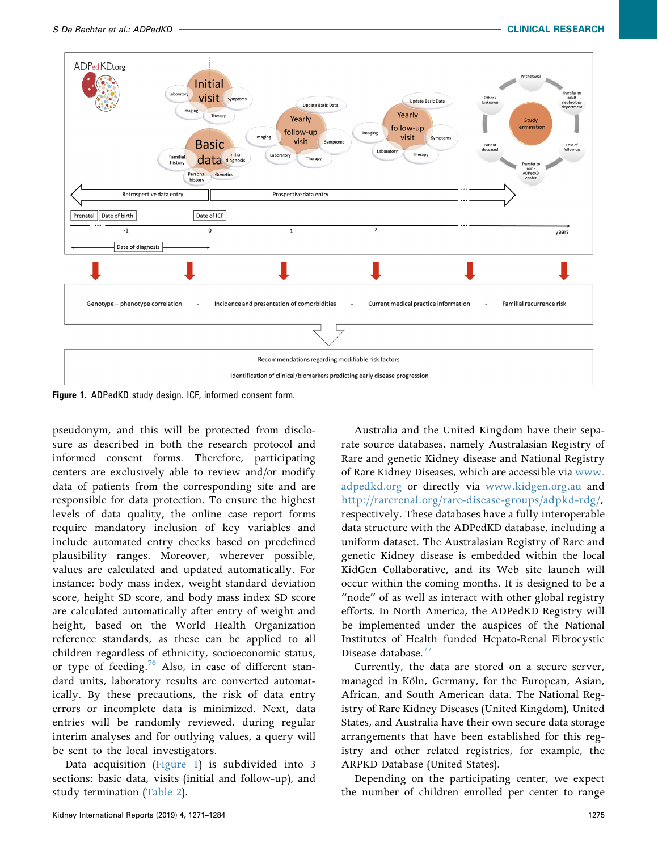<span id="page-4-0"></span>

Figure 1. ADPedKD study design. ICF, informed consent form.

pseudonym, and this will be protected from disclosure as described in both the research protocol and informed consent forms. Therefore, participating centers are exclusively able to review and/or modify data of patients from the corresponding site and are responsible for data protection. To ensure the highest levels of data quality, the online case report forms require mandatory inclusion of key variables and include automated entry checks based on predefined plausibility ranges. Moreover, wherever possible, values are calculated and updated automatically. For instance: body mass index, weight standard deviation score, height SD score, and body mass index SD score are calculated automatically after entry of weight and height, based on the World Health Organization reference standards, as these can be applied to all children regardless of ethnicity, socioeconomic status, or type of feeding.<sup>[76](#page-12-0)</sup> Also, in case of different standard units, laboratory results are converted automatically. By these precautions, the risk of data entry errors or incomplete data is minimized. Next, data entries will be randomly reviewed, during regular interim analyses and for outlying values, a query will be sent to the local investigators.

Data acquisition (Figure 1) is subdivided into 3 sections: basic data, visits (initial and follow-up), and study termination ([Table 2](#page-5-0)).

Australia and the United Kingdom have their separate source databases, namely Australasian Registry of Rare and genetic Kidney disease and National Registry of Rare Kidney Diseases, which are accessible via [www.](http://www.adpedkd.org) [adpedkd.org](http://www.adpedkd.org) or directly via [www.kidgen.org.au](http://www.kidgen.org.au) and [http://rarerenal.org/rare-disease-groups/adpkd-rdg/,](http://rarerenal.org/rare-disease-groups/adpkd-rdg/) respectively. These databases have a fully interoperable data structure with the ADPedKD database, including a uniform dataset. The Australasian Registry of Rare and genetic Kidney disease is embedded within the local KidGen Collaborative, and its Web site launch will occur within the coming months. It is designed to be a "node" of as well as interact with other global registry efforts. In North America, the ADPedKD Registry will be implemented under the auspices of the National Institutes of Health–funded Hepato-Renal Fibrocystic Disease database.<sup>[77](#page-12-0)</sup>

Currently, the data are stored on a secure server, managed in Köln, Germany, for the European, Asian, African, and South American data. The National Registry of Rare Kidney Diseases (United Kingdom), United States, and Australia have their own secure data storage arrangements that have been established for this registry and other related registries, for example, the ARPKD Database (United States).

Depending on the participating center, we expect the number of children enrolled per center to range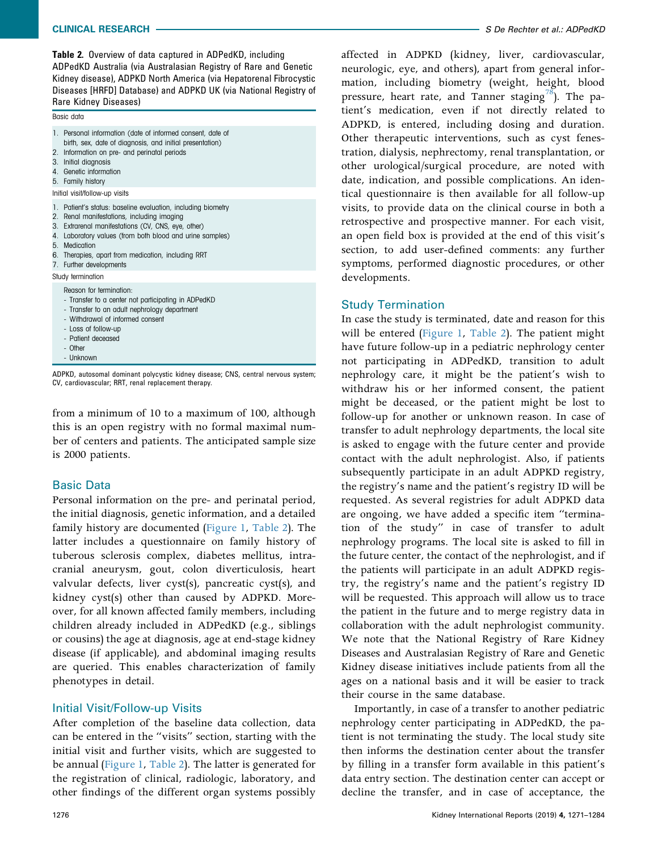<span id="page-5-0"></span>Table 2. Overview of data captured in ADPedKD, including ADPedKD Australia (via Australasian Registry of Rare and Genetic Kidney disease), ADPKD North America (via Hepatorenal Fibrocystic Diseases [HRFD] Database) and ADPKD UK (via National Registry of Rare Kidney Diseases)

| Basic data                                                                                                                                                                                                                                                                                                                             |
|----------------------------------------------------------------------------------------------------------------------------------------------------------------------------------------------------------------------------------------------------------------------------------------------------------------------------------------|
| 1. Personal information (date of informed consent, date of<br>birth, sex, date of diagnosis, and initial presentation)<br>Information on pre- and perinatal periods<br>2.<br>Initial diagnosis<br>3.<br>4. Genetic information<br>5. Family history<br>Initial visit/follow-up visits                                                  |
| 1. Patient's status: baseline evaluation, including biometry<br>Renal manifestations, including imaging<br>2.<br>3. Extrarenal manifestations (CV, CNS, eye, other)<br>Laboratory values (from both blood and urine samples)<br>4.<br>Medication<br>5<br>6. Therapies, apart from medication, including RRT<br>7. Further developments |
| Study termination                                                                                                                                                                                                                                                                                                                      |
| Reason for termination:<br>- Transfer to a center not participating in ADPedKD<br>- Transfer to an adult nephrology department<br>- Withdrawal of informed consent<br>- Loss of follow-up<br>- Patient deceased<br>- Other<br>- Unknown                                                                                                |

ADPKD, autosomal dominant polycystic kidney disease; CNS, central nervous system; CV, cardiovascular; RRT, renal replacement therapy.

from a minimum of 10 to a maximum of 100, although this is an open registry with no formal maximal number of centers and patients. The anticipated sample size is 2000 patients.

# Basic Data

Personal information on the pre- and perinatal period, the initial diagnosis, genetic information, and a detailed family history are documented [\(Figure 1,](#page-4-0) Table 2). The latter includes a questionnaire on family history of tuberous sclerosis complex, diabetes mellitus, intracranial aneurysm, gout, colon diverticulosis, heart valvular defects, liver cyst(s), pancreatic cyst(s), and kidney cyst(s) other than caused by ADPKD. Moreover, for all known affected family members, including children already included in ADPedKD (e.g., siblings or cousins) the age at diagnosis, age at end-stage kidney disease (if applicable), and abdominal imaging results are queried. This enables characterization of family phenotypes in detail.

# Initial Visit/Follow-up Visits

After completion of the baseline data collection, data can be entered in the "visits" section, starting with the initial visit and further visits, which are suggested to be annual [\(Figure 1](#page-4-0), Table 2). The latter is generated for the registration of clinical, radiologic, laboratory, and other findings of the different organ systems possibly

affected in ADPKD (kidney, liver, cardiovascular, neurologic, eye, and others), apart from general information, including biometry (weight, height, blood pressure, heart rate, and Tanner staging<sup>[78](#page-13-0)</sup>). The patient's medication, even if not directly related to ADPKD, is entered, including dosing and duration. Other therapeutic interventions, such as cyst fenestration, dialysis, nephrectomy, renal transplantation, or other urological/surgical procedure, are noted with date, indication, and possible complications. An identical questionnaire is then available for all follow-up visits, to provide data on the clinical course in both a retrospective and prospective manner. For each visit, an open field box is provided at the end of this visit's section, to add user-defined comments: any further symptoms, performed diagnostic procedures, or other developments.

# Study Termination

In case the study is terminated, date and reason for this will be entered [\(Figure 1,](#page-4-0) Table 2). The patient might have future follow-up in a pediatric nephrology center not participating in ADPedKD, transition to adult nephrology care, it might be the patient's wish to withdraw his or her informed consent, the patient might be deceased, or the patient might be lost to follow-up for another or unknown reason. In case of transfer to adult nephrology departments, the local site is asked to engage with the future center and provide contact with the adult nephrologist. Also, if patients subsequently participate in an adult ADPKD registry, the registry's name and the patient's registry ID will be requested. As several registries for adult ADPKD data are ongoing, we have added a specific item "termination of the study" in case of transfer to adult nephrology programs. The local site is asked to fill in the future center, the contact of the nephrologist, and if the patients will participate in an adult ADPKD registry, the registry's name and the patient's registry ID will be requested. This approach will allow us to trace the patient in the future and to merge registry data in collaboration with the adult nephrologist community. We note that the National Registry of Rare Kidney Diseases and Australasian Registry of Rare and Genetic Kidney disease initiatives include patients from all the ages on a national basis and it will be easier to track their course in the same database.

Importantly, in case of a transfer to another pediatric nephrology center participating in ADPedKD, the patient is not terminating the study. The local study site then informs the destination center about the transfer by filling in a transfer form available in this patient's data entry section. The destination center can accept or decline the transfer, and in case of acceptance, the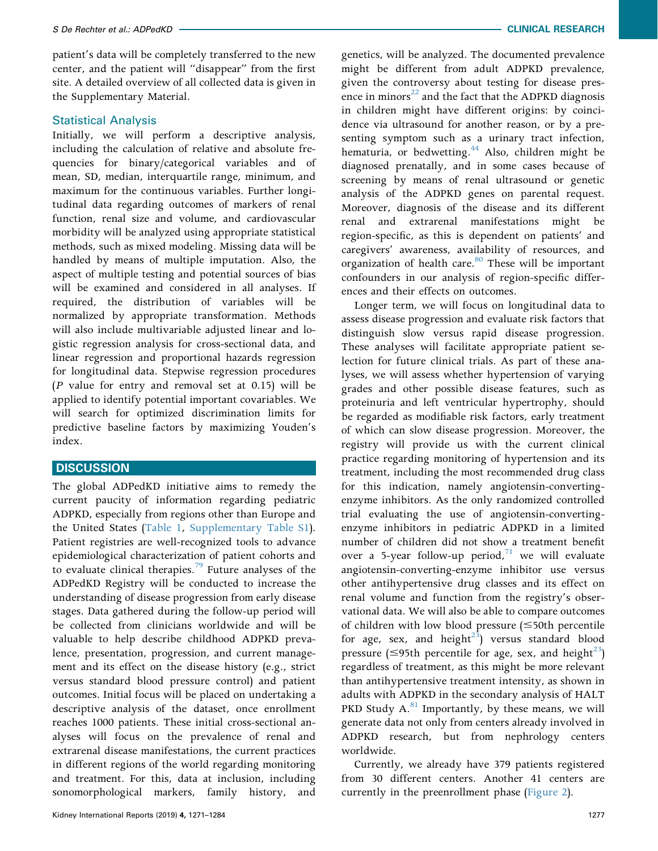patient's data will be completely transferred to the new center, and the patient will "disappear" from the first site. A detailed overview of all collected data is given in the Supplementary Material.

### Statistical Analysis

Initially, we will perform a descriptive analysis, including the calculation of relative and absolute frequencies for binary/categorical variables and of mean, SD, median, interquartile range, minimum, and maximum for the continuous variables. Further longitudinal data regarding outcomes of markers of renal function, renal size and volume, and cardiovascular morbidity will be analyzed using appropriate statistical methods, such as mixed modeling. Missing data will be handled by means of multiple imputation. Also, the aspect of multiple testing and potential sources of bias will be examined and considered in all analyses. If required, the distribution of variables will be normalized by appropriate transformation. Methods will also include multivariable adjusted linear and logistic regression analysis for cross-sectional data, and linear regression and proportional hazards regression for longitudinal data. Stepwise regression procedures (P value for entry and removal set at 0.15) will be applied to identify potential important covariables. We will search for optimized discrimination limits for predictive baseline factors by maximizing Youden's index.

# **DISCUSSION**

The global ADPedKD initiative aims to remedy the current paucity of information regarding pediatric ADPKD, especially from regions other than Europe and the United States ([Table 1](#page-2-0), [Supplementary Table S1\)](#page-0-0). Patient registries are well-recognized tools to advance epidemiological characterization of patient cohorts and to evaluate clinical therapies.<sup>79</sup> Future analyses of the ADPedKD Registry will be conducted to increase the understanding of disease progression from early disease stages. Data gathered during the follow-up period will be collected from clinicians worldwide and will be valuable to help describe childhood ADPKD prevalence, presentation, progression, and current management and its effect on the disease history (e.g., strict versus standard blood pressure control) and patient outcomes. Initial focus will be placed on undertaking a descriptive analysis of the dataset, once enrollment reaches 1000 patients. These initial cross-sectional analyses will focus on the prevalence of renal and extrarenal disease manifestations, the current practices in different regions of the world regarding monitoring and treatment. For this, data at inclusion, including sonomorphological markers, family history, and

genetics, will be analyzed. The documented prevalence might be different from adult ADPKD prevalence, given the controversy about testing for disease presence in minors<sup>22</sup> and the fact that the ADPKD diagnosis in children might have different origins: by coincidence via ultrasound for another reason, or by a presenting symptom such as a urinary tract infection, hematuria, or bedwetting. $44$  Also, children might be diagnosed prenatally, and in some cases because of screening by means of renal ultrasound or genetic analysis of the ADPKD genes on parental request. Moreover, diagnosis of the disease and its different renal and extrarenal manifestations might be region-specific, as this is dependent on patients' and caregivers' awareness, availability of resources, and organization of health care. $80$  These will be important confounders in our analysis of region-specific differences and their effects on outcomes.

Longer term, we will focus on longitudinal data to assess disease progression and evaluate risk factors that distinguish slow versus rapid disease progression. These analyses will facilitate appropriate patient selection for future clinical trials. As part of these analyses, we will assess whether hypertension of varying grades and other possible disease features, such as proteinuria and left ventricular hypertrophy, should be regarded as modifiable risk factors, early treatment of which can slow disease progression. Moreover, the registry will provide us with the current clinical practice regarding monitoring of hypertension and its treatment, including the most recommended drug class for this indication, namely angiotensin-convertingenzyme inhibitors. As the only randomized controlled trial evaluating the use of angiotensin-convertingenzyme inhibitors in pediatric ADPKD in a limited number of children did not show a treatment benefit over a 5-year follow-up period,<sup>[71](#page-12-0)</sup> we will evaluate angiotensin-converting-enzyme inhibitor use versus other antihypertensive drug classes and its effect on renal volume and function from the registry's observational data. We will also be able to compare outcomes of children with low blood pressure  $(\leq 50$ th percentile for age, sex, and height<sup>[23](#page-11-0)</sup>) versus standard blood pressure ( $\leq$ 95th percentile for age, sex, and height<sup>23</sup>) regardless of treatment, as this might be more relevant than antihypertensive treatment intensity, as shown in adults with ADPKD in the secondary analysis of HALT PKD Study  $A$ .<sup>[81](#page-13-0)</sup> Importantly, by these means, we will generate data not only from centers already involved in ADPKD research, but from nephrology centers worldwide.

Currently, we already have 379 patients registered from 30 different centers. Another 41 centers are currently in the preenrollment phase [\(Figure 2\)](#page-7-0).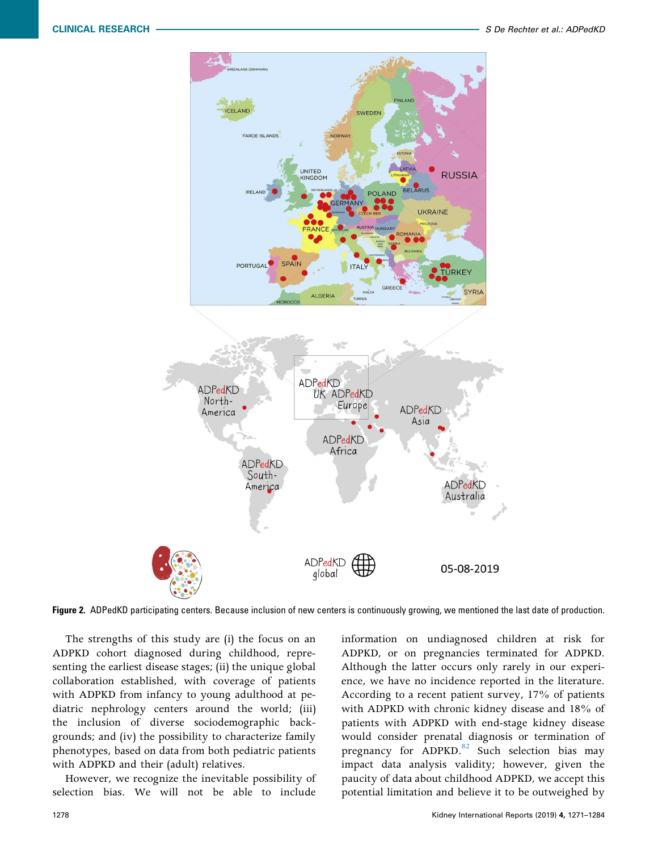<span id="page-7-0"></span>

Figure 2. ADPedKD participating centers. Because inclusion of new centers is continuously growing, we mentioned the last date of production.

The strengths of this study are (i) the focus on an ADPKD cohort diagnosed during childhood, representing the earliest disease stages; (ii) the unique global collaboration established, with coverage of patients with ADPKD from infancy to young adulthood at pediatric nephrology centers around the world; (iii) the inclusion of diverse sociodemographic backgrounds; and (iv) the possibility to characterize family phenotypes, based on data from both pediatric patients with ADPKD and their (adult) relatives.

However, we recognize the inevitable possibility of selection bias. We will not be able to include

information on undiagnosed children at risk for ADPKD, or on pregnancies terminated for ADPKD. Although the latter occurs only rarely in our experience, we have no incidence reported in the literature. According to a recent patient survey, 17% of patients with ADPKD with chronic kidney disease and 18% of patients with ADPKD with end-stage kidney disease would consider prenatal diagnosis or termination of pregnancy for ADPKD.<sup>[82](#page-13-0)</sup> Such selection bias may impact data analysis validity; however, given the paucity of data about childhood ADPKD, we accept this potential limitation and believe it to be outweighed by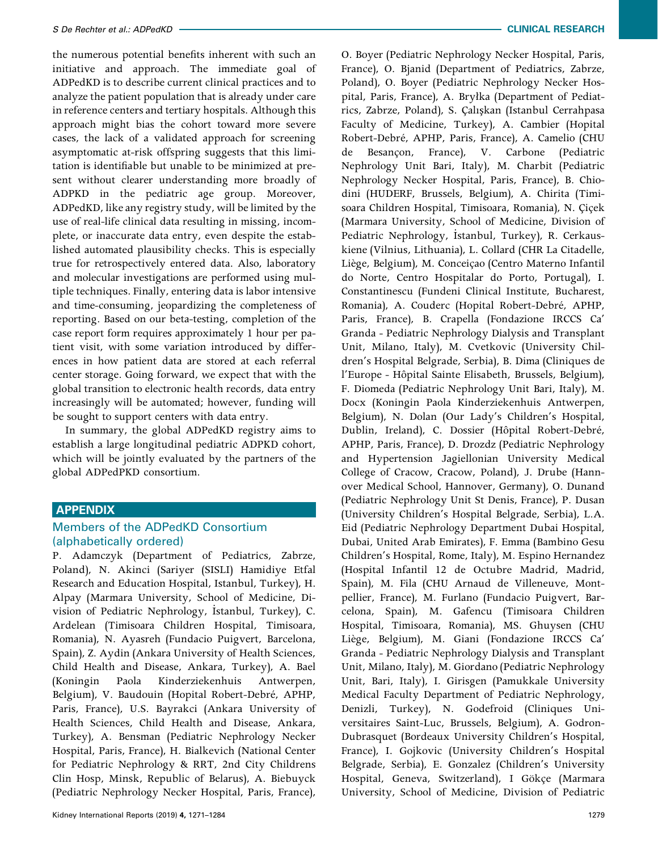the numerous potential benefits inherent with such an initiative and approach. The immediate goal of ADPedKD is to describe current clinical practices and to analyze the patient population that is already under care in reference centers and tertiary hospitals. Although this approach might bias the cohort toward more severe cases, the lack of a validated approach for screening asymptomatic at-risk offspring suggests that this limitation is identifiable but unable to be minimized at present without clearer understanding more broadly of ADPKD in the pediatric age group. Moreover, ADPedKD, like any registry study, will be limited by the use of real-life clinical data resulting in missing, incomplete, or inaccurate data entry, even despite the established automated plausibility checks. This is especially true for retrospectively entered data. Also, laboratory and molecular investigations are performed using multiple techniques. Finally, entering data is labor intensive and time-consuming, jeopardizing the completeness of reporting. Based on our beta-testing, completion of the case report form requires approximately 1 hour per patient visit, with some variation introduced by differences in how patient data are stored at each referral center storage. Going forward, we expect that with the global transition to electronic health records, data entry increasingly will be automated; however, funding will be sought to support centers with data entry.

In summary, the global ADPedKD registry aims to establish a large longitudinal pediatric ADPKD cohort, which will be jointly evaluated by the partners of the global ADPedPKD consortium.

# APPENDIX

# Members of the ADPedKD Consortium (alphabetically ordered)

P. Adamczyk (Department of Pediatrics, Zabrze, Poland), N. Akinci (Sariyer (SISLI) Hamidiye Etfal Research and Education Hospital, Istanbul, Turkey), H. Alpay (Marmara University, School of Medicine, Division of Pediatric Nephrology, Istanbul, Turkey), C. \_ Ardelean (Timisoara Children Hospital, Timisoara, Romania), N. Ayasreh (Fundacio Puigvert, Barcelona, Spain), Z. Aydin (Ankara University of Health Sciences, Child Health and Disease, Ankara, Turkey), A. Bael (Koningin Paola Kinderziekenhuis Antwerpen, Belgium), V. Baudouin (Hopital Robert-Debré, APHP, Paris, France), U.S. Bayrakci (Ankara University of Health Sciences, Child Health and Disease, Ankara, Turkey), A. Bensman (Pediatric Nephrology Necker Hospital, Paris, France), H. Bialkevich (National Center for Pediatric Nephrology & RRT, 2nd City Childrens Clin Hosp, Minsk, Republic of Belarus), A. Biebuyck (Pediatric Nephrology Necker Hospital, Paris, France),

O. Boyer (Pediatric Nephrology Necker Hospital, Paris, France), O. Bjanid (Department of Pediatrics, Zabrze, Poland), O. Boyer (Pediatric Nephrology Necker Hospital, Paris, France), A. Bryłka (Department of Pediatrics, Zabrze, Poland), S. Çalışkan (Istanbul Cerrahpasa Faculty of Medicine, Turkey), A. Cambier (Hopital Robert-Debré, APHP, Paris, France), A. Camelio (CHU de Besançon, France), V. Carbone (Pediatric Nephrology Unit Bari, Italy), M. Charbit (Pediatric Nephrology Necker Hospital, Paris, France), B. Chiodini (HUDERF, Brussels, Belgium), A. Chirita (Timisoara Children Hospital, Timisoara, Romania), N. Çiçek (Marmara University, School of Medicine, Division of Pediatric Nephrology, Istanbul, Turkey), R. Cerkaus- \_ kiene (Vilnius, Lithuania), L. Collard (CHR La Citadelle, Liège, Belgium), M. Conceiçao (Centro Materno Infantil do Norte, Centro Hospitalar do Porto, Portugal), I. Constantinescu (Fundeni Clinical Institute, Bucharest, Romania), A. Couderc (Hopital Robert-Debré, APHP, Paris, France), B. Crapella (Fondazione IRCCS Ca' Granda - Pediatric Nephrology Dialysis and Transplant Unit, Milano, Italy), M. Cvetkovic (University Children's Hospital Belgrade, Serbia), B. Dima (Cliniques de l'Europe - Hôpital Sainte Elisabeth, Brussels, Belgium), F. Diomeda (Pediatric Nephrology Unit Bari, Italy), M. Docx (Koningin Paola Kinderziekenhuis Antwerpen, Belgium), N. Dolan (Our Lady's Children's Hospital, Dublin, Ireland), C. Dossier (Hôpital Robert-Debré, APHP, Paris, France), D. Drozdz (Pediatric Nephrology and Hypertension Jagiellonian University Medical College of Cracow, Cracow, Poland), J. Drube (Hannover Medical School, Hannover, Germany), O. Dunand (Pediatric Nephrology Unit St Denis, France), P. Dusan (University Children's Hospital Belgrade, Serbia), L.A. Eid (Pediatric Nephrology Department Dubai Hospital, Dubai, United Arab Emirates), F. Emma (Bambino Gesu Children's Hospital, Rome, Italy), M. Espino Hernandez (Hospital Infantil 12 de Octubre Madrid, Madrid, Spain), M. Fila (CHU Arnaud de Villeneuve, Montpellier, France), M. Furlano (Fundacio Puigvert, Barcelona, Spain), M. Gafencu (Timisoara Children Hospital, Timisoara, Romania), MS. Ghuysen (CHU Liège, Belgium), M. Giani (Fondazione IRCCS Ca' Granda - Pediatric Nephrology Dialysis and Transplant Unit, Milano, Italy), M. Giordano (Pediatric Nephrology Unit, Bari, Italy), I. Girisgen (Pamukkale University Medical Faculty Department of Pediatric Nephrology, Denizli, Turkey), N. Godefroid (Cliniques Universitaires Saint-Luc, Brussels, Belgium), A. Godron-Dubrasquet (Bordeaux University Children's Hospital, France), I. Gojkovic (University Children's Hospital Belgrade, Serbia), E. Gonzalez (Children's University Hospital, Geneva, Switzerland), I Gökçe (Marmara University, School of Medicine, Division of Pediatric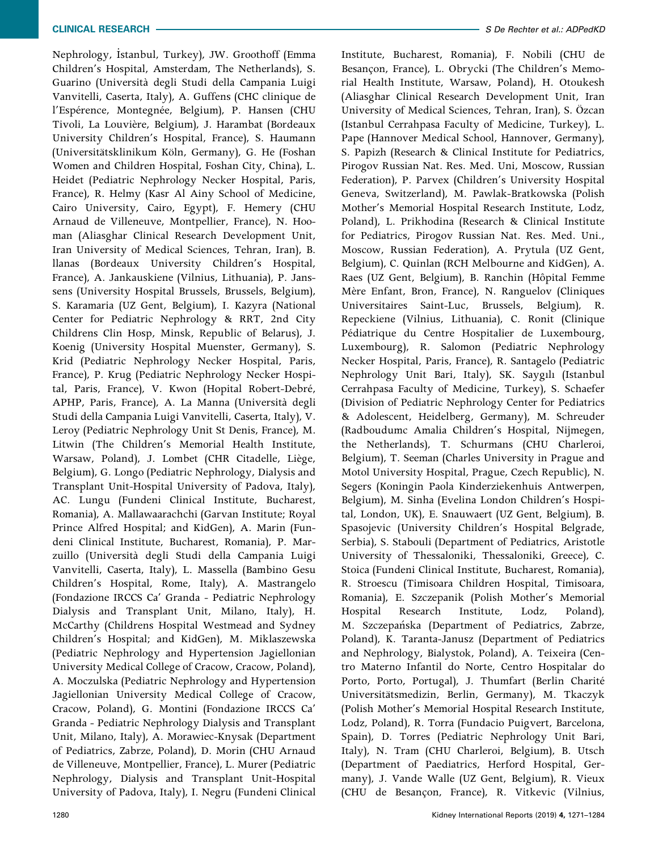Nephrology, Istanbul, Turkey), JW. Groothoff (Emma \_ Children's Hospital, Amsterdam, The Netherlands), S. Guarino (Università degli Studi della Campania Luigi Vanvitelli, Caserta, Italy), A. Guffens (CHC clinique de l'Espérence, Montegnée, Belgium), P. Hansen (CHU Tivoli, La Louvière, Belgium), J. Harambat (Bordeaux University Children's Hospital, France), S. Haumann (Universitätsklinikum Köln, Germany), G. He (Foshan Women and Children Hospital, Foshan City, China), L. Heidet (Pediatric Nephrology Necker Hospital, Paris, France), R. Helmy (Kasr Al Ainy School of Medicine, Cairo University, Cairo, Egypt), F. Hemery (CHU Arnaud de Villeneuve, Montpellier, France), N. Hooman (Aliasghar Clinical Research Development Unit, Iran University of Medical Sciences, Tehran, Iran), B. llanas (Bordeaux University Children's Hospital, France), A. Jankauskiene (Vilnius, Lithuania), P. Janssens (University Hospital Brussels, Brussels, Belgium), S. Karamaria (UZ Gent, Belgium), I. Kazyra (National Center for Pediatric Nephrology & RRT, 2nd City Childrens Clin Hosp, Minsk, Republic of Belarus), J. Koenig (University Hospital Muenster, Germany), S. Krid (Pediatric Nephrology Necker Hospital, Paris, France), P. Krug (Pediatric Nephrology Necker Hospital, Paris, France), V. Kwon (Hopital Robert-Debré, APHP, Paris, France), A. La Manna (Università degli Studi della Campania Luigi Vanvitelli, Caserta, Italy), V. Leroy (Pediatric Nephrology Unit St Denis, France), M. Litwin (The Children's Memorial Health Institute, Warsaw, Poland), J. Lombet (CHR Citadelle, Liège, Belgium), G. Longo (Pediatric Nephrology, Dialysis and Transplant Unit-Hospital University of Padova, Italy), AC. Lungu (Fundeni Clinical Institute, Bucharest, Romania), A. Mallawaarachchi (Garvan Institute; Royal Prince Alfred Hospital; and KidGen), A. Marin (Fundeni Clinical Institute, Bucharest, Romania), P. Marzuillo (Università degli Studi della Campania Luigi Vanvitelli, Caserta, Italy), L. Massella (Bambino Gesu Children's Hospital, Rome, Italy), A. Mastrangelo (Fondazione IRCCS Ca' Granda - Pediatric Nephrology Dialysis and Transplant Unit, Milano, Italy), H. McCarthy (Childrens Hospital Westmead and Sydney Children's Hospital; and KidGen), M. Miklaszewska (Pediatric Nephrology and Hypertension Jagiellonian University Medical College of Cracow, Cracow, Poland), A. Moczulska (Pediatric Nephrology and Hypertension Jagiellonian University Medical College of Cracow, Cracow, Poland), G. Montini (Fondazione IRCCS Ca' Granda - Pediatric Nephrology Dialysis and Transplant Unit, Milano, Italy), A. Morawiec-Knysak (Department of Pediatrics, Zabrze, Poland), D. Morin (CHU Arnaud de Villeneuve, Montpellier, France), L. Murer (Pediatric Nephrology, Dialysis and Transplant Unit-Hospital University of Padova, Italy), I. Negru (Fundeni Clinical

Institute, Bucharest, Romania), F. Nobili (CHU de Besançon, France), L. Obrycki (The Children's Memorial Health Institute, Warsaw, Poland), H. Otoukesh (Aliasghar Clinical Research Development Unit, Iran University of Medical Sciences, Tehran, Iran), S. Özcan (Istanbul Cerrahpasa Faculty of Medicine, Turkey), L. Pape (Hannover Medical School, Hannover, Germany), S. Papizh (Research & Clinical Institute for Pediatrics, Pirogov Russian Nat. Res. Med. Uni, Moscow, Russian Federation), P. Parvex (Children's University Hospital Geneva, Switzerland), M. Pawlak-Bratkowska (Polish Mother's Memorial Hospital Research Institute, Lodz, Poland), L. Prikhodina (Research & Clinical Institute for Pediatrics, Pirogov Russian Nat. Res. Med. Uni., Moscow, Russian Federation), A. Prytula (UZ Gent, Belgium), C. Quinlan (RCH Melbourne and KidGen), A. Raes (UZ Gent, Belgium), B. Ranchin (Hôpital Femme Mère Enfant, Bron, France), N. Ranguelov (Cliniques Universitaires Saint-Luc, Brussels, Belgium), R. Repeckiene (Vilnius, Lithuania), C. Ronit (Clinique Pédiatrique du Centre Hospitalier de Luxembourg, Luxembourg), R. Salomon (Pediatric Nephrology Necker Hospital, Paris, France), R. Santagelo (Pediatric Nephrology Unit Bari, Italy), SK. Saygılı (Istanbul Cerrahpasa Faculty of Medicine, Turkey), S. Schaefer (Division of Pediatric Nephrology Center for Pediatrics & Adolescent, Heidelberg, Germany), M. Schreuder (Radboudumc Amalia Children's Hospital, Nijmegen, the Netherlands), T. Schurmans (CHU Charleroi, Belgium), T. Seeman (Charles University in Prague and Motol University Hospital, Prague, Czech Republic), N. Segers (Koningin Paola Kinderziekenhuis Antwerpen, Belgium), M. Sinha (Evelina London Children's Hospital, London, UK), E. Snauwaert (UZ Gent, Belgium), B. Spasojevic (University Children's Hospital Belgrade, Serbia), S. Stabouli (Department of Pediatrics, Aristotle University of Thessaloniki, Thessaloniki, Greece), C. Stoica (Fundeni Clinical Institute, Bucharest, Romania), R. Stroescu (Timisoara Children Hospital, Timisoara, Romania), E. Szczepanik (Polish Mother's Memorial Hospital Research Institute, Lodz, Poland), M. Szczepańska (Department of Pediatrics, Zabrze, Poland), K. Taranta-Janusz (Department of Pediatrics and Nephrology, Bialystok, Poland), A. Teixeira (Centro Materno Infantil do Norte, Centro Hospitalar do Porto, Porto, Portugal), J. Thumfart (Berlin Charité Universitätsmedizin, Berlin, Germany), M. Tkaczyk (Polish Mother's Memorial Hospital Research Institute, Lodz, Poland), R. Torra (Fundacio Puigvert, Barcelona, Spain), D. Torres (Pediatric Nephrology Unit Bari, Italy), N. Tram (CHU Charleroi, Belgium), B. Utsch (Department of Paediatrics, Herford Hospital, Germany), J. Vande Walle (UZ Gent, Belgium), R. Vieux (CHU de Besançon, France), R. Vitkevic (Vilnius,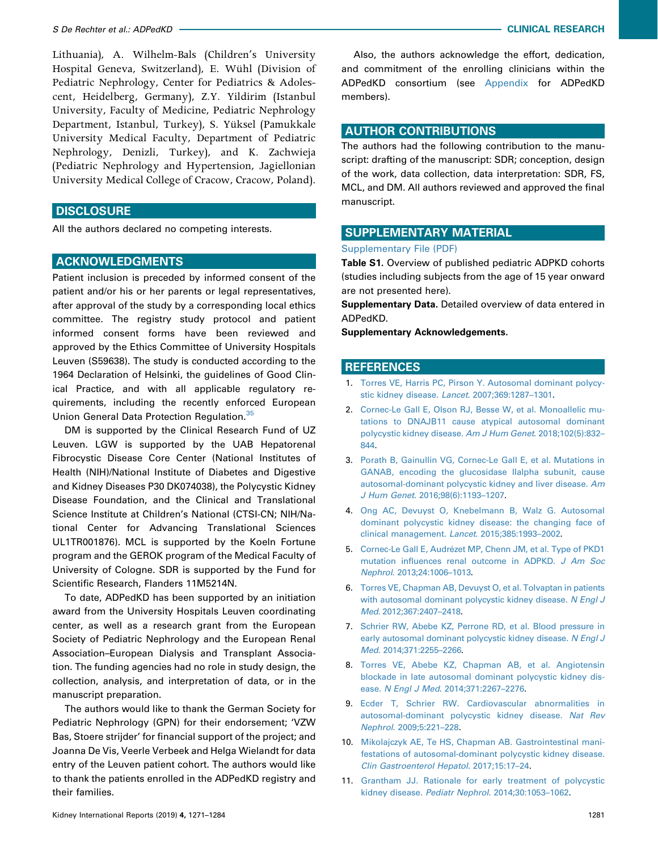<span id="page-10-0"></span>Lithuania), A. Wilhelm-Bals (Children's University Hospital Geneva, Switzerland), E. Wühl (Division of Pediatric Nephrology, Center for Pediatrics & Adolescent, Heidelberg, Germany), Z.Y. Yildirim (Istanbul University, Faculty of Medicine, Pediatric Nephrology Department, Istanbul, Turkey), S. Yüksel (Pamukkale University Medical Faculty, Department of Pediatric Nephrology, Denizli, Turkey), and K. Zachwieja (Pediatric Nephrology and Hypertension, Jagiellonian University Medical College of Cracow, Cracow, Poland).

#### **DISCLOSURE**

All the authors declared no competing interests.

# ACKNOWLEDGMENTS

Patient inclusion is preceded by informed consent of the patient and/or his or her parents or legal representatives, after approval of the study by a corresponding local ethics committee. The registry study protocol and patient informed consent forms have been reviewed and approved by the Ethics Committee of University Hospitals Leuven (S59638). The study is conducted according to the 1964 Declaration of Helsinki, the guidelines of Good Clinical Practice, and with all applicable regulatory requirements, including the recently enforced European Union General Data Protection Regulation.<sup>[35](#page-11-0)</sup>

DM is supported by the Clinical Research Fund of UZ Leuven. LGW is supported by the UAB Hepatorenal Fibrocystic Disease Core Center (National Institutes of Health (NIH)/National Institute of Diabetes and Digestive and Kidney Diseases P30 DK074038), the Polycystic Kidney Disease Foundation, and the Clinical and Translational Science Institute at Children's National (CTSI-CN; NIH/National Center for Advancing Translational Sciences UL1TR001876). MCL is supported by the Koeln Fortune program and the GEROK program of the Medical Faculty of University of Cologne. SDR is supported by the Fund for Scientific Research, Flanders 11M5214N.

To date, ADPedKD has been supported by an initiation award from the University Hospitals Leuven coordinating center, as well as a research grant from the European Society of Pediatric Nephrology and the European Renal Association–European Dialysis and Transplant Association. The funding agencies had no role in study design, the collection, analysis, and interpretation of data, or in the manuscript preparation.

The authors would like to thank the German Society for Pediatric Nephrology (GPN) for their endorsement; 'VZW Bas, Stoere strijder' for financial support of the project; and Joanna De Vis, Veerle Verbeek and Helga Wielandt for data entry of the Leuven patient cohort. The authors would like to thank the patients enrolled in the ADPedKD registry and their families.

Also, the authors acknowledge the effort, dedication, and commitment of the enrolling clinicians within the ADPedKD consortium (see [Appendix](#page-0-0) for ADPedKD members).

#### AUTHOR CONTRIBUTIONS

The authors had the following contribution to the manuscript: drafting of the manuscript: SDR; conception, design of the work, data collection, data interpretation: SDR, FS, MCL, and DM. All authors reviewed and approved the final manuscript.

### SUPPLEMENTARY MATERIAL

#### [Supplementary File \(PDF\)](https://doi.org/10.1016/j.ekir.2019.05.015)

Table S1. Overview of published pediatric ADPKD cohorts (studies including subjects from the age of 15 year onward are not presented here).

Supplementary Data. Detailed overview of data entered in ADPedKD.

Supplementary Acknowledgements.

#### **REFERENCES**

- 1. [Torres VE, Harris PC, Pirson Y. Autosomal dominant polycy](http://refhub.elsevier.com/S2468-0249(19)30210-4/sref1)[stic kidney disease.](http://refhub.elsevier.com/S2468-0249(19)30210-4/sref1) Lancet. 2007;369:1287–1301.
- 2. [Cornec-Le Gall E, Olson RJ, Besse W, et al. Monoallelic mu](http://refhub.elsevier.com/S2468-0249(19)30210-4/sref2)[tations to DNAJB11 cause atypical autosomal dominant](http://refhub.elsevier.com/S2468-0249(19)30210-4/sref2) [polycystic kidney disease.](http://refhub.elsevier.com/S2468-0249(19)30210-4/sref2) Am J Hum Genet. 2018;102(5):832– [844.](http://refhub.elsevier.com/S2468-0249(19)30210-4/sref2)
- 3. [Porath B, Gainullin VG, Cornec-Le Gall E, et al. Mutations in](http://refhub.elsevier.com/S2468-0249(19)30210-4/sref3) [GANAB, encoding the glucosidase IIalpha subunit, cause](http://refhub.elsevier.com/S2468-0249(19)30210-4/sref3) [autosomal-dominant polycystic kidney and liver disease.](http://refhub.elsevier.com/S2468-0249(19)30210-4/sref3) Am J Hum Genet[. 2016;98\(6\):1193](http://refhub.elsevier.com/S2468-0249(19)30210-4/sref3)–1207.
- 4. [Ong AC, Devuyst O, Knebelmann B, Walz G. Autosomal](http://refhub.elsevier.com/S2468-0249(19)30210-4/sref4) [dominant polycystic kidney disease: the changing face of](http://refhub.elsevier.com/S2468-0249(19)30210-4/sref4) [clinical management.](http://refhub.elsevier.com/S2468-0249(19)30210-4/sref4) Lancet. 2015;385:1993–2002.
- 5. [Cornec-Le Gall E, Audrézet MP, Chenn JM, et al. Type of PKD1](http://refhub.elsevier.com/S2468-0249(19)30210-4/sref5) mutation infl[uences renal outcome in ADPKD.](http://refhub.elsevier.com/S2468-0249(19)30210-4/sref5) J Am Soc Nephrol[. 2013;24:1006](http://refhub.elsevier.com/S2468-0249(19)30210-4/sref5)–1013.
- 6. [Torres VE, Chapman AB, Devuyst O, et al. Tolvaptan in patients](http://refhub.elsevier.com/S2468-0249(19)30210-4/sref6) [with autosomal dominant polycystic kidney disease.](http://refhub.elsevier.com/S2468-0249(19)30210-4/sref6) N Engl J Med[. 2012;367:2407](http://refhub.elsevier.com/S2468-0249(19)30210-4/sref6)–2418.
- 7. [Schrier RW, Abebe KZ, Perrone RD, et al. Blood pressure in](http://refhub.elsevier.com/S2468-0249(19)30210-4/sref7) [early autosomal dominant polycystic kidney disease.](http://refhub.elsevier.com/S2468-0249(19)30210-4/sref7) N Engl J Med[. 2014;371:2255](http://refhub.elsevier.com/S2468-0249(19)30210-4/sref7)–2266.
- 8. [Torres VE, Abebe KZ, Chapman AB, et al. Angiotensin](http://refhub.elsevier.com/S2468-0249(19)30210-4/sref8) [blockade in late autosomal dominant polycystic kidney dis](http://refhub.elsevier.com/S2468-0249(19)30210-4/sref8)ease. N Engl J Med[. 2014;371:2267](http://refhub.elsevier.com/S2468-0249(19)30210-4/sref8)–2276.
- 9. [Ecder T, Schrier RW. Cardiovascular abnormalities in](http://refhub.elsevier.com/S2468-0249(19)30210-4/sref9) [autosomal-dominant polycystic kidney disease.](http://refhub.elsevier.com/S2468-0249(19)30210-4/sref9) Nat Rev Nephrol[. 2009;5:221](http://refhub.elsevier.com/S2468-0249(19)30210-4/sref9)–228.
- 10. [Mikolajczyk AE, Te HS, Chapman AB. Gastrointestinal mani](http://refhub.elsevier.com/S2468-0249(19)30210-4/sref10)[festations of autosomal-dominant polycystic kidney disease.](http://refhub.elsevier.com/S2468-0249(19)30210-4/sref10) [Clin Gastroenterol Hepatol](http://refhub.elsevier.com/S2468-0249(19)30210-4/sref10). 2017;15:17–24.
- 11. [Grantham JJ. Rationale for early treatment of polycystic](http://refhub.elsevier.com/S2468-0249(19)30210-4/sref11) kidney disease. [Pediatr Nephrol](http://refhub.elsevier.com/S2468-0249(19)30210-4/sref11). 2014;30:1053–1062.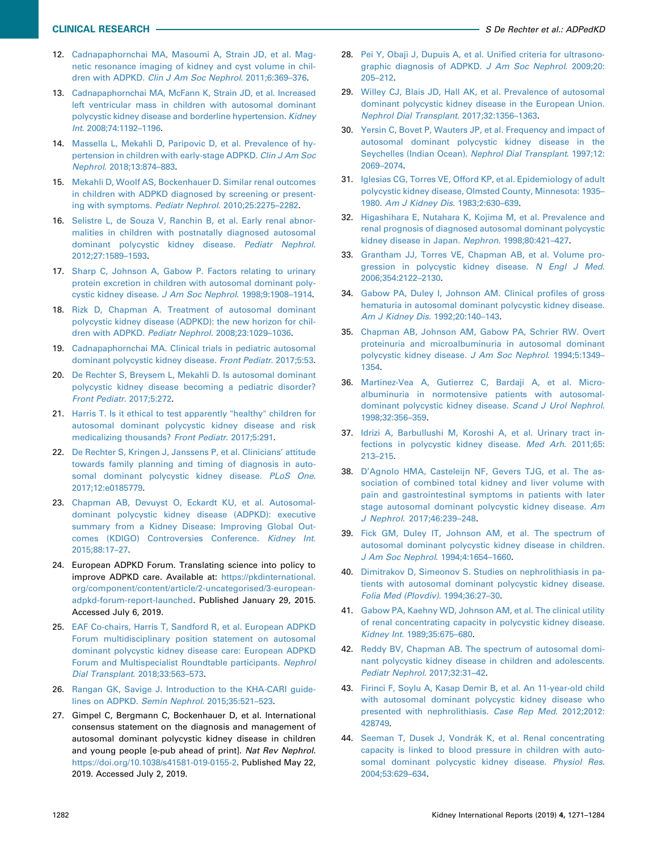- <span id="page-11-0"></span>12. [Cadnapaphornchai MA, Masoumi A, Strain JD, et al. Mag](http://refhub.elsevier.com/S2468-0249(19)30210-4/sref12)[netic resonance imaging of kidney and cyst volume in chil-](http://refhub.elsevier.com/S2468-0249(19)30210-4/sref12)dren with ADPKD. [Clin J Am Soc Nephrol](http://refhub.elsevier.com/S2468-0249(19)30210-4/sref12). 2011;6:369-376.
- 13. [Cadnapaphornchai MA, McFann K, Strain JD, et al. Increased](http://refhub.elsevier.com/S2468-0249(19)30210-4/sref13) [left ventricular mass in children with autosomal dominant](http://refhub.elsevier.com/S2468-0249(19)30210-4/sref13) [polycystic kidney disease and borderline hypertension.](http://refhub.elsevier.com/S2468-0249(19)30210-4/sref13) Kidney Int[. 2008;74:1192](http://refhub.elsevier.com/S2468-0249(19)30210-4/sref13)–1196.
- 14. [Massella L, Mekahli D, Paripovic D, et al. Prevalence of hy](http://refhub.elsevier.com/S2468-0249(19)30210-4/sref14)[pertension in children with early-stage ADPKD.](http://refhub.elsevier.com/S2468-0249(19)30210-4/sref14) Clin J Am Soc Nephrol[. 2018;13:874](http://refhub.elsevier.com/S2468-0249(19)30210-4/sref14)–883.
- 15. [Mekahli D, Woolf AS, Bockenhauer D. Similar renal outcomes](http://refhub.elsevier.com/S2468-0249(19)30210-4/sref15) [in children with ADPKD diagnosed by screening or present](http://refhub.elsevier.com/S2468-0249(19)30210-4/sref15)[ing with symptoms.](http://refhub.elsevier.com/S2468-0249(19)30210-4/sref15) Pediatr Nephrol. 2010;25:2275–2282.
- 16. [Selistre L, de Souza V, Ranchin B, et al. Early renal abnor](http://refhub.elsevier.com/S2468-0249(19)30210-4/sref16)[malities in children with postnatally diagnosed autosomal](http://refhub.elsevier.com/S2468-0249(19)30210-4/sref16) [dominant polycystic kidney disease.](http://refhub.elsevier.com/S2468-0249(19)30210-4/sref16) Pediatr Nephrol. [2012;27:1589](http://refhub.elsevier.com/S2468-0249(19)30210-4/sref16)–1593.
- 17. [Sharp C, Johnson A, Gabow P. Factors relating to urinary](http://refhub.elsevier.com/S2468-0249(19)30210-4/sref17) [protein excretion in children with autosomal dominant poly](http://refhub.elsevier.com/S2468-0249(19)30210-4/sref17)[cystic kidney disease.](http://refhub.elsevier.com/S2468-0249(19)30210-4/sref17) J Am Soc Nephrol. 1998;9:1908-1914.
- 18. [Rizk D, Chapman A. Treatment of autosomal dominant](http://refhub.elsevier.com/S2468-0249(19)30210-4/sref18) [polycystic kidney disease \(ADPKD\): the new horizon for chil](http://refhub.elsevier.com/S2468-0249(19)30210-4/sref18)[dren with ADPKD.](http://refhub.elsevier.com/S2468-0249(19)30210-4/sref18) Pediatr Nephrol. 2008;23:1029–1036.
- 19. [Cadnapaphornchai MA. Clinical trials in pediatric autosomal](http://refhub.elsevier.com/S2468-0249(19)30210-4/sref19) [dominant polycystic kidney disease.](http://refhub.elsevier.com/S2468-0249(19)30210-4/sref19) Front Pediatr. 2017;5:53.
- 20. [De Rechter S, Breysem L, Mekahli D. Is autosomal dominant](http://refhub.elsevier.com/S2468-0249(19)30210-4/sref20) [polycystic kidney disease becoming a pediatric disorder?](http://refhub.elsevier.com/S2468-0249(19)30210-4/sref20) [Front Pediatr](http://refhub.elsevier.com/S2468-0249(19)30210-4/sref20). 2017;5:272.
- 21. [Harris T. Is it ethical to test apparently "healthy" children for](http://refhub.elsevier.com/S2468-0249(19)30210-4/sref21) [autosomal dominant polycystic kidney disease and risk](http://refhub.elsevier.com/S2468-0249(19)30210-4/sref21) [medicalizing thousands?](http://refhub.elsevier.com/S2468-0249(19)30210-4/sref21) Front Pediatr. 2017;5:291.
- 22. [De Rechter S, Kringen J, Janssens P, et al. Clinicians](http://refhub.elsevier.com/S2468-0249(19)30210-4/sref22)' attitude [towards family planning and timing of diagnosis in auto](http://refhub.elsevier.com/S2468-0249(19)30210-4/sref22)[somal dominant polycystic kidney disease.](http://refhub.elsevier.com/S2468-0249(19)30210-4/sref22) PLoS One. [2017;12:e0185779.](http://refhub.elsevier.com/S2468-0249(19)30210-4/sref22)
- 23. [Chapman AB, Devuyst O, Eckardt KU, et al. Autosomal](http://refhub.elsevier.com/S2468-0249(19)30210-4/sref23)[dominant polycystic kidney disease \(ADPKD\): executive](http://refhub.elsevier.com/S2468-0249(19)30210-4/sref23) [summary from a Kidney Disease: Improving Global Out](http://refhub.elsevier.com/S2468-0249(19)30210-4/sref23)[comes \(KDIGO\) Controversies Conference.](http://refhub.elsevier.com/S2468-0249(19)30210-4/sref23) Kidney Int. [2015;88:17](http://refhub.elsevier.com/S2468-0249(19)30210-4/sref23)–27.
- 24. European ADPKD Forum. Translating science into policy to improve ADPKD care. Available at: [https://pkdinternational.](https://pkdinternational.org/component/content/article/2-uncategorised/3-european-adpkd-forum-report-launched) [org/component/content/article/2-uncategorised/3-european](https://pkdinternational.org/component/content/article/2-uncategorised/3-european-adpkd-forum-report-launched)[adpkd-forum-report-launched.](https://pkdinternational.org/component/content/article/2-uncategorised/3-european-adpkd-forum-report-launched) Published January 29, 2015. Accessed July 6, 2019.
- 25. [EAF Co-chairs, Harris T, Sandford R, et al. European ADPKD](http://refhub.elsevier.com/S2468-0249(19)30210-4/sref25) [Forum multidisciplinary position statement on autosomal](http://refhub.elsevier.com/S2468-0249(19)30210-4/sref25) [dominant polycystic kidney disease care: European ADPKD](http://refhub.elsevier.com/S2468-0249(19)30210-4/sref25) [Forum and Multispecialist Roundtable participants.](http://refhub.elsevier.com/S2468-0249(19)30210-4/sref25) Nephrol [Dial Transplant](http://refhub.elsevier.com/S2468-0249(19)30210-4/sref25). 2018;33:563–573.
- 26. [Rangan GK, Savige J. Introduction to the KHA-CARI guide](http://refhub.elsevier.com/S2468-0249(19)30210-4/sref26)[lines on ADPKD.](http://refhub.elsevier.com/S2468-0249(19)30210-4/sref26) Semin Nephrol. 2015;35:521–523.
- 27. Gimpel C, Bergmann C, Bockenhauer D, et al. International consensus statement on the diagnosis and management of autosomal dominant polycystic kidney disease in children and young people [e-pub ahead of print]. Nat Rev Nephrol. <https://doi.org/10.1038/s41581-019-0155-2>. Published May 22, 2019. Accessed July 2, 2019.
- 28. [Pei Y, Obaji J, Dupuis A, et al. Uni](http://refhub.elsevier.com/S2468-0249(19)30210-4/sref28)fied criteria for ultrasono[graphic diagnosis of ADPKD.](http://refhub.elsevier.com/S2468-0249(19)30210-4/sref28) J Am Soc Nephrol. 2009;20: [205](http://refhub.elsevier.com/S2468-0249(19)30210-4/sref28)–212.
- 29. [Willey CJ, Blais JD, Hall AK, et al. Prevalence of autosomal](http://refhub.elsevier.com/S2468-0249(19)30210-4/sref29) [dominant polycystic kidney disease in the European Union.](http://refhub.elsevier.com/S2468-0249(19)30210-4/sref29) [Nephrol Dial Transplant](http://refhub.elsevier.com/S2468-0249(19)30210-4/sref29). 2017;32:1356–1363.
- 30. [Yersin C, Bovet P, Wauters JP, et al. Frequency and impact of](http://refhub.elsevier.com/S2468-0249(19)30210-4/sref30) [autosomal dominant polycystic kidney disease in the](http://refhub.elsevier.com/S2468-0249(19)30210-4/sref30) [Seychelles \(Indian Ocean\).](http://refhub.elsevier.com/S2468-0249(19)30210-4/sref30) Nephrol Dial Transplant. 1997;12: [2069](http://refhub.elsevier.com/S2468-0249(19)30210-4/sref30)–2074.
- 31. [Iglesias CG, Torres VE, Offord KP, et al. Epidemiology of adult](http://refhub.elsevier.com/S2468-0249(19)30210-4/sref31) [polycystic kidney disease, Olmsted County, Minnesota: 1935](http://refhub.elsevier.com/S2468-0249(19)30210-4/sref31)– 1980. [Am J Kidney Dis](http://refhub.elsevier.com/S2468-0249(19)30210-4/sref31). 1983;2:630–639.
- 32. [Higashihara E, Nutahara K, Kojima M, et al. Prevalence and](http://refhub.elsevier.com/S2468-0249(19)30210-4/sref32) [renal prognosis of diagnosed autosomal dominant polycystic](http://refhub.elsevier.com/S2468-0249(19)30210-4/sref32) [kidney disease in Japan.](http://refhub.elsevier.com/S2468-0249(19)30210-4/sref32) Nephron. 1998;80:421–427.
- 33. [Grantham JJ, Torres VE, Chapman AB, et al. Volume pro](http://refhub.elsevier.com/S2468-0249(19)30210-4/sref33)[gression in polycystic kidney disease.](http://refhub.elsevier.com/S2468-0249(19)30210-4/sref33) N Engl J Med. [2006;354:2122](http://refhub.elsevier.com/S2468-0249(19)30210-4/sref33)–2130.
- 34. [Gabow PA, Duley I, Johnson AM. Clinical pro](http://refhub.elsevier.com/S2468-0249(19)30210-4/sref34)files of gross [hematuria in autosomal dominant polycystic kidney disease.](http://refhub.elsevier.com/S2468-0249(19)30210-4/sref34) [Am J Kidney Dis](http://refhub.elsevier.com/S2468-0249(19)30210-4/sref34). 1992;20:140–143.
- 35. [Chapman AB, Johnson AM, Gabow PA, Schrier RW. Overt](http://refhub.elsevier.com/S2468-0249(19)30210-4/sref35) [proteinuria and microalbuminuria in autosomal dominant](http://refhub.elsevier.com/S2468-0249(19)30210-4/sref35) [polycystic kidney disease.](http://refhub.elsevier.com/S2468-0249(19)30210-4/sref35) J Am Soc Nephrol. 1994;5:1349– [1354.](http://refhub.elsevier.com/S2468-0249(19)30210-4/sref35)
- 36. [Martinez-Vea A, Gutierrez C, Bardají A, et al. Micro](http://refhub.elsevier.com/S2468-0249(19)30210-4/sref36)[albuminuria in normotensive patients with autosomal](http://refhub.elsevier.com/S2468-0249(19)30210-4/sref36)[dominant polycystic kidney disease.](http://refhub.elsevier.com/S2468-0249(19)30210-4/sref36) Scand J Urol Nephrol. [1998;32:356](http://refhub.elsevier.com/S2468-0249(19)30210-4/sref36)–359.
- 37. [Idrizi A, Barbullushi M, Koroshi A, et al. Urinary tract in](http://refhub.elsevier.com/S2468-0249(19)30210-4/sref37)[fections in polycystic kidney disease.](http://refhub.elsevier.com/S2468-0249(19)30210-4/sref37) Med Arh. 2011;65: [213](http://refhub.elsevier.com/S2468-0249(19)30210-4/sref37)–215.
- 38. D'[Agnolo HMA, Casteleijn NF, Gevers TJG, et al. The as](http://refhub.elsevier.com/S2468-0249(19)30210-4/sref38)[sociation of combined total kidney and liver volume with](http://refhub.elsevier.com/S2468-0249(19)30210-4/sref38) [pain and gastrointestinal symptoms in patients with later](http://refhub.elsevier.com/S2468-0249(19)30210-4/sref38) [stage autosomal dominant polycystic kidney disease.](http://refhub.elsevier.com/S2468-0249(19)30210-4/sref38) Am J Nephrol[. 2017;46:239](http://refhub.elsevier.com/S2468-0249(19)30210-4/sref38)–248.
- 39. [Fick GM, Duley IT, Johnson AM, et al. The spectrum of](http://refhub.elsevier.com/S2468-0249(19)30210-4/sref39) [autosomal dominant polycystic kidney disease in children.](http://refhub.elsevier.com/S2468-0249(19)30210-4/sref39) [J Am Soc Nephrol](http://refhub.elsevier.com/S2468-0249(19)30210-4/sref39). 1994;4:1654–1660.
- 40. [Dimitrakov D, Simeonov S. Studies on nephrolithiasis in pa](http://refhub.elsevier.com/S2468-0249(19)30210-4/sref40)[tients with autosomal dominant polycystic kidney disease.](http://refhub.elsevier.com/S2468-0249(19)30210-4/sref40) [Folia Med \(Plovdiv\)](http://refhub.elsevier.com/S2468-0249(19)30210-4/sref40). 1994;36:27–30.
- 41. [Gabow PA, Kaehny WD, Johnson AM, et al. The clinical utility](http://refhub.elsevier.com/S2468-0249(19)30210-4/sref41) [of renal concentrating capacity in polycystic kidney disease.](http://refhub.elsevier.com/S2468-0249(19)30210-4/sref41) Kidney Int[. 1989;35:675](http://refhub.elsevier.com/S2468-0249(19)30210-4/sref41)–680.
- 42. [Reddy BV, Chapman AB. The spectrum of autosomal domi](http://refhub.elsevier.com/S2468-0249(19)30210-4/sref42)[nant polycystic kidney disease in children and adolescents.](http://refhub.elsevier.com/S2468-0249(19)30210-4/sref42) [Pediatr Nephrol](http://refhub.elsevier.com/S2468-0249(19)30210-4/sref42). 2017;32:31–42.
- 43. [Firinci F, Soylu A, Kasap Demir B, et al. An 11-year-old child](http://refhub.elsevier.com/S2468-0249(19)30210-4/sref43) [with autosomal dominant polycystic kidney disease who](http://refhub.elsevier.com/S2468-0249(19)30210-4/sref43) [presented with nephrolithiasis.](http://refhub.elsevier.com/S2468-0249(19)30210-4/sref43) Case Rep Med. 2012;2012: [428749](http://refhub.elsevier.com/S2468-0249(19)30210-4/sref43).
- 44. [Seeman T, Dusek J, Vondrák K, et al. Renal concentrating](http://refhub.elsevier.com/S2468-0249(19)30210-4/sref44) [capacity is linked to blood pressure in children with auto](http://refhub.elsevier.com/S2468-0249(19)30210-4/sref44)[somal dominant polycystic kidney disease.](http://refhub.elsevier.com/S2468-0249(19)30210-4/sref44) Physiol Res. [2004;53:629](http://refhub.elsevier.com/S2468-0249(19)30210-4/sref44)–634.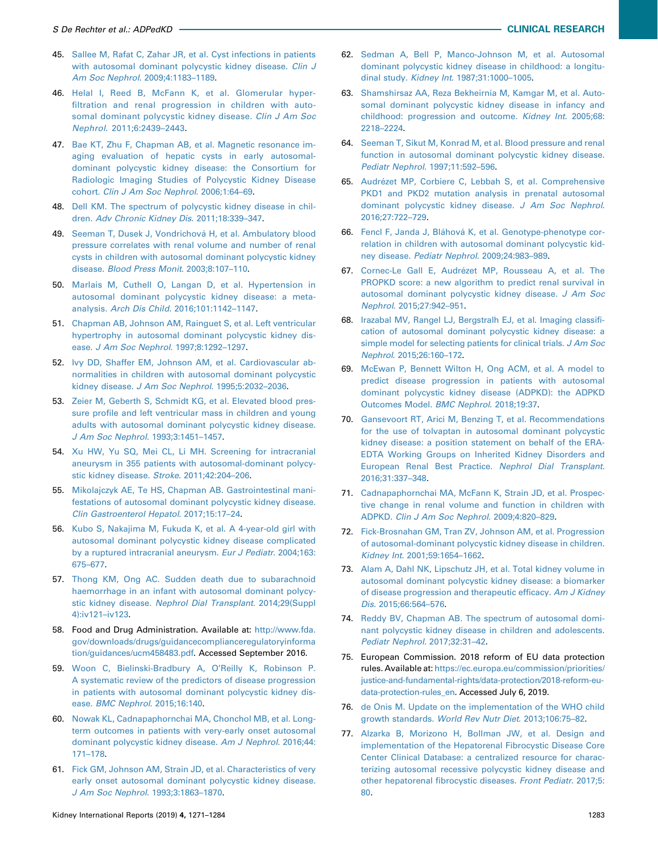- <span id="page-12-0"></span>45. [Sallee M, Rafat C, Zahar JR, et al. Cyst infections in patients](http://refhub.elsevier.com/S2468-0249(19)30210-4/sref45) [with autosomal dominant polycystic kidney disease.](http://refhub.elsevier.com/S2468-0249(19)30210-4/sref45) Clin J [Am Soc Nephrol](http://refhub.elsevier.com/S2468-0249(19)30210-4/sref45). 2009;4:1183–1189.
- 46. [Helal I, Reed B, McFann K, et al. Glomerular hyper](http://refhub.elsevier.com/S2468-0249(19)30210-4/sref46)fi[ltration and renal progression in children with auto](http://refhub.elsevier.com/S2468-0249(19)30210-4/sref46)[somal dominant polycystic kidney disease.](http://refhub.elsevier.com/S2468-0249(19)30210-4/sref46) Clin J Am Soc Nephrol[. 2011;6:2439](http://refhub.elsevier.com/S2468-0249(19)30210-4/sref46)–2443.
- 47. [Bae KT, Zhu F, Chapman AB, et al. Magnetic resonance im](http://refhub.elsevier.com/S2468-0249(19)30210-4/sref47)[aging evaluation of hepatic cysts in early autosomal](http://refhub.elsevier.com/S2468-0249(19)30210-4/sref47)[dominant polycystic kidney disease: the Consortium for](http://refhub.elsevier.com/S2468-0249(19)30210-4/sref47) [Radiologic Imaging Studies of Polycystic Kidney Disease](http://refhub.elsevier.com/S2468-0249(19)30210-4/sref47) cohort. [Clin J Am Soc Nephrol](http://refhub.elsevier.com/S2468-0249(19)30210-4/sref47). 2006;1:64–69.
- 48. [Dell KM. The spectrum of polycystic kidney disease in chil](http://refhub.elsevier.com/S2468-0249(19)30210-4/sref48)dren. [Adv Chronic Kidney Dis](http://refhub.elsevier.com/S2468-0249(19)30210-4/sref48). 2011;18:339–347.
- 49. [Seeman T, Dusek J, Vondrichová H, et al. Ambulatory blood](http://refhub.elsevier.com/S2468-0249(19)30210-4/sref49) [pressure correlates with renal volume and number of renal](http://refhub.elsevier.com/S2468-0249(19)30210-4/sref49) [cysts in children with autosomal dominant polycystic kidney](http://refhub.elsevier.com/S2468-0249(19)30210-4/sref49) disease. [Blood Press Monit](http://refhub.elsevier.com/S2468-0249(19)30210-4/sref49). 2003;8:107–110.
- 50. [Marlais M, Cuthell O, Langan D, et al. Hypertension in](http://refhub.elsevier.com/S2468-0249(19)30210-4/sref50) [autosomal dominant polycystic kidney disease: a meta](http://refhub.elsevier.com/S2468-0249(19)30210-4/sref50)analysis. Arch Dis Child[. 2016;101:1142](http://refhub.elsevier.com/S2468-0249(19)30210-4/sref50)–1147.
- 51. [Chapman AB, Johnson AM, Rainguet S, et al. Left ventricular](http://refhub.elsevier.com/S2468-0249(19)30210-4/sref51) [hypertrophy in autosomal dominant polycystic kidney dis](http://refhub.elsevier.com/S2468-0249(19)30210-4/sref51)ease. [J Am Soc Nephrol](http://refhub.elsevier.com/S2468-0249(19)30210-4/sref51). 1997;8:1292–1297.
- 52. [Ivy DD, Shaffer EM, Johnson AM, et al. Cardiovascular ab](http://refhub.elsevier.com/S2468-0249(19)30210-4/sref52)[normalities in children with autosomal dominant polycystic](http://refhub.elsevier.com/S2468-0249(19)30210-4/sref52) kidney disease. [J Am Soc Nephrol](http://refhub.elsevier.com/S2468-0249(19)30210-4/sref52). 1995;5:2032–2036.
- 53. [Zeier M, Geberth S, Schmidt KG, et al. Elevated blood pres](http://refhub.elsevier.com/S2468-0249(19)30210-4/sref53)sure profi[le and left ventricular mass in children and young](http://refhub.elsevier.com/S2468-0249(19)30210-4/sref53) [adults with autosomal dominant polycystic kidney disease.](http://refhub.elsevier.com/S2468-0249(19)30210-4/sref53) [J Am Soc Nephrol](http://refhub.elsevier.com/S2468-0249(19)30210-4/sref53). 1993;3:1451–1457.
- 54. [Xu HW, Yu SQ, Mei CL, Li MH. Screening for intracranial](http://refhub.elsevier.com/S2468-0249(19)30210-4/sref54) [aneurysm in 355 patients with autosomal-dominant polycy](http://refhub.elsevier.com/S2468-0249(19)30210-4/sref54)[stic kidney disease.](http://refhub.elsevier.com/S2468-0249(19)30210-4/sref54) Stroke. 2011;42:204–206.
- 55. [Mikolajczyk AE, Te HS, Chapman AB. Gastrointestinal mani](http://refhub.elsevier.com/S2468-0249(19)30210-4/sref55)[festations of autosomal dominant polycystic kidney disease.](http://refhub.elsevier.com/S2468-0249(19)30210-4/sref55) [Clin Gastroenterol Hepatol](http://refhub.elsevier.com/S2468-0249(19)30210-4/sref55). 2017;15:17–24.
- 56. [Kubo S, Nakajima M, Fukuda K, et al. A 4-year-old girl with](http://refhub.elsevier.com/S2468-0249(19)30210-4/sref56) [autosomal dominant polycystic kidney disease complicated](http://refhub.elsevier.com/S2468-0249(19)30210-4/sref56) [by a ruptured intracranial aneurysm.](http://refhub.elsevier.com/S2468-0249(19)30210-4/sref56) Eur J Pediatr. 2004;163: [675](http://refhub.elsevier.com/S2468-0249(19)30210-4/sref56)–677.
- 57. [Thong KM, Ong AC. Sudden death due to subarachnoid](http://refhub.elsevier.com/S2468-0249(19)30210-4/sref57) [haemorrhage in an infant with autosomal dominant polycy-](http://refhub.elsevier.com/S2468-0249(19)30210-4/sref57)stic kidney disease. [Nephrol Dial Transplant](http://refhub.elsevier.com/S2468-0249(19)30210-4/sref57). 2014;29(Suppl [4\):iv121](http://refhub.elsevier.com/S2468-0249(19)30210-4/sref57)–iv123.
- 58. Food and Drug Administration. Available at: [http://www.fda.](http://www.fda.gov/downloads/drugs/guidancecomplianceregulatoryinformation/guidances/ucm458483.pdf) [gov/downloads/drugs/guidancecomplianceregulatoryinforma](http://www.fda.gov/downloads/drugs/guidancecomplianceregulatoryinformation/guidances/ucm458483.pdf) [tion/guidances/ucm458483.pdf](http://www.fda.gov/downloads/drugs/guidancecomplianceregulatoryinformation/guidances/ucm458483.pdf). Accessed September 2016.
- 59. [Woon C, Bielinski-Bradbury A, O](http://refhub.elsevier.com/S2468-0249(19)30210-4/sref59)'Reilly K, Robinson P. [A systematic review of the predictors of disease progression](http://refhub.elsevier.com/S2468-0249(19)30210-4/sref59) [in patients with autosomal dominant polycystic kidney dis](http://refhub.elsevier.com/S2468-0249(19)30210-4/sref59)ease. [BMC Nephrol](http://refhub.elsevier.com/S2468-0249(19)30210-4/sref59). 2015;16:140.
- 60. [Nowak KL, Cadnapaphornchai MA, Chonchol MB, et al. Long](http://refhub.elsevier.com/S2468-0249(19)30210-4/sref60)[term outcomes in patients with very-early onset autosomal](http://refhub.elsevier.com/S2468-0249(19)30210-4/sref60) [dominant polycystic kidney disease.](http://refhub.elsevier.com/S2468-0249(19)30210-4/sref60) Am J Nephrol. 2016;44: [171](http://refhub.elsevier.com/S2468-0249(19)30210-4/sref60)–178.
- 61. [Fick GM, Johnson AM, Strain JD, et al. Characteristics of very](http://refhub.elsevier.com/S2468-0249(19)30210-4/sref61) [early onset autosomal dominant polycystic kidney disease.](http://refhub.elsevier.com/S2468-0249(19)30210-4/sref61) [J Am Soc Nephrol](http://refhub.elsevier.com/S2468-0249(19)30210-4/sref61). 1993;3:1863–1870.
- 62. [Sedman A, Bell P, Manco-Johnson M, et al. Autosomal](http://refhub.elsevier.com/S2468-0249(19)30210-4/sref62) [dominant polycystic kidney disease in childhood: a longitu](http://refhub.elsevier.com/S2468-0249(19)30210-4/sref62)dinal study. Kidney Int[. 1987;31:1000](http://refhub.elsevier.com/S2468-0249(19)30210-4/sref62)–1005.
- 63. [Shamshirsaz AA, Reza Bekheirnia M, Kamgar M, et al. Auto](http://refhub.elsevier.com/S2468-0249(19)30210-4/sref63)[somal dominant polycystic kidney disease in infancy and](http://refhub.elsevier.com/S2468-0249(19)30210-4/sref63) [childhood: progression and outcome.](http://refhub.elsevier.com/S2468-0249(19)30210-4/sref63) Kidney Int. 2005;68: [2218](http://refhub.elsevier.com/S2468-0249(19)30210-4/sref63)–2224.
- 64. [Seeman T, Sikut M, Konrad M, et al. Blood pressure and renal](http://refhub.elsevier.com/S2468-0249(19)30210-4/sref64) [function in autosomal dominant polycystic kidney disease.](http://refhub.elsevier.com/S2468-0249(19)30210-4/sref64) [Pediatr Nephrol](http://refhub.elsevier.com/S2468-0249(19)30210-4/sref64). 1997;11:592–596.
- 65. [Audrézet MP, Corbiere C, Lebbah S, et al. Comprehensive](http://refhub.elsevier.com/S2468-0249(19)30210-4/sref65) [PKD1 and PKD2 mutation analysis in prenatal autosomal](http://refhub.elsevier.com/S2468-0249(19)30210-4/sref65) [dominant polycystic kidney disease.](http://refhub.elsevier.com/S2468-0249(19)30210-4/sref65) J Am Soc Nephrol. [2016;27:722](http://refhub.elsevier.com/S2468-0249(19)30210-4/sref65)–729.
- 66. [Fencl F, Janda J, Bláhová K, et al. Genotype-phenotype cor](http://refhub.elsevier.com/S2468-0249(19)30210-4/sref66)[relation in children with autosomal dominant polycystic kid](http://refhub.elsevier.com/S2468-0249(19)30210-4/sref66)ney disease. [Pediatr Nephrol](http://refhub.elsevier.com/S2468-0249(19)30210-4/sref66). 2009;24:983–989.
- 67. [Cornec-Le Gall E, Audrézet MP, Rousseau A, et al. The](http://refhub.elsevier.com/S2468-0249(19)30210-4/sref67) [PROPKD score: a new algorithm to predict renal survival in](http://refhub.elsevier.com/S2468-0249(19)30210-4/sref67) [autosomal dominant polycystic kidney disease.](http://refhub.elsevier.com/S2468-0249(19)30210-4/sref67) J Am Soc Nephrol[. 2015;27:942](http://refhub.elsevier.com/S2468-0249(19)30210-4/sref67)–951.
- 68. [Irazabal MV, Rangel LJ, Bergstralh EJ, et al. Imaging classi](http://refhub.elsevier.com/S2468-0249(19)30210-4/sref68)fi[cation of autosomal dominant polycystic kidney disease: a](http://refhub.elsevier.com/S2468-0249(19)30210-4/sref68) [simple model for selecting patients for clinical trials.](http://refhub.elsevier.com/S2468-0249(19)30210-4/sref68) J Am Soc Nephrol[. 2015;26:160](http://refhub.elsevier.com/S2468-0249(19)30210-4/sref68)–172.
- 69. [McEwan P, Bennett Wilton H, Ong ACM, et al. A model to](http://refhub.elsevier.com/S2468-0249(19)30210-4/sref69) [predict disease progression in patients with autosomal](http://refhub.elsevier.com/S2468-0249(19)30210-4/sref69) [dominant polycystic kidney disease \(ADPKD\): the ADPKD](http://refhub.elsevier.com/S2468-0249(19)30210-4/sref69) [Outcomes Model.](http://refhub.elsevier.com/S2468-0249(19)30210-4/sref69) BMC Nephrol. 2018;19:37.
- 70. [Gansevoort RT, Arici M, Benzing T, et al. Recommendations](http://refhub.elsevier.com/S2468-0249(19)30210-4/sref70) [for the use of tolvaptan in autosomal dominant polycystic](http://refhub.elsevier.com/S2468-0249(19)30210-4/sref70) [kidney disease: a position statement on behalf of the ERA-](http://refhub.elsevier.com/S2468-0249(19)30210-4/sref70)[EDTA Working Groups on Inherited Kidney Disorders and](http://refhub.elsevier.com/S2468-0249(19)30210-4/sref70) [European Renal Best Practice.](http://refhub.elsevier.com/S2468-0249(19)30210-4/sref70) Nephrol Dial Transplant. [2016;31:337](http://refhub.elsevier.com/S2468-0249(19)30210-4/sref70)–348.
- 71. [Cadnapaphornchai MA, McFann K, Strain JD, et al. Prospec](http://refhub.elsevier.com/S2468-0249(19)30210-4/sref71)[tive change in renal volume and function in children with](http://refhub.elsevier.com/S2468-0249(19)30210-4/sref71) ADPKD. [Clin J Am Soc Nephrol](http://refhub.elsevier.com/S2468-0249(19)30210-4/sref71). 2009;4:820–829.
- 72. [Fick-Brosnahan GM, Tran ZV, Johnson AM, et al. Progression](http://refhub.elsevier.com/S2468-0249(19)30210-4/sref72) [of autosomal-dominant polycystic kidney disease in children.](http://refhub.elsevier.com/S2468-0249(19)30210-4/sref72) Kidney Int[. 2001;59:1654](http://refhub.elsevier.com/S2468-0249(19)30210-4/sref72)–1662.
- 73. [Alam A, Dahl NK, Lipschutz JH, et al. Total kidney volume in](http://refhub.elsevier.com/S2468-0249(19)30210-4/sref73) [autosomal dominant polycystic kidney disease: a biomarker](http://refhub.elsevier.com/S2468-0249(19)30210-4/sref73) [of disease progression and therapeutic ef](http://refhub.elsevier.com/S2468-0249(19)30210-4/sref73)ficacy. Am J Kidney Dis[. 2015;66:564](http://refhub.elsevier.com/S2468-0249(19)30210-4/sref73)–576.
- 74. [Reddy BV, Chapman AB. The spectrum of autosomal domi](http://refhub.elsevier.com/S2468-0249(19)30210-4/sref74)[nant polycystic kidney disease in children and adolescents.](http://refhub.elsevier.com/S2468-0249(19)30210-4/sref74) [Pediatr Nephrol](http://refhub.elsevier.com/S2468-0249(19)30210-4/sref74). 2017;32:31–42.
- 75. European Commission. 2018 reform of EU data protection rules. Available at: [https://ec.europa.eu/commission/priorities/](https://ec.europa.eu/commission/priorities/justice-and-fundamental-rights/data-protection/2018-reform-eu-data-protection-rules_en) [justice-and-fundamental-rights/data-protection/2018-reform-eu](https://ec.europa.eu/commission/priorities/justice-and-fundamental-rights/data-protection/2018-reform-eu-data-protection-rules_en)[data-protection-rules\\_en](https://ec.europa.eu/commission/priorities/justice-and-fundamental-rights/data-protection/2018-reform-eu-data-protection-rules_en). Accessed July 6, 2019.
- 76. [de Onis M. Update on the implementation of the WHO child](http://refhub.elsevier.com/S2468-0249(19)30210-4/sref76) growth standards. [World Rev Nutr Diet](http://refhub.elsevier.com/S2468-0249(19)30210-4/sref76). 2013;106:75–82.
- 77. [Alzarka B, Morizono H, Bollman JW, et al. Design and](http://refhub.elsevier.com/S2468-0249(19)30210-4/sref77) [implementation of the Hepatorenal Fibrocystic Disease Core](http://refhub.elsevier.com/S2468-0249(19)30210-4/sref77) [Center Clinical Database: a centralized resource for charac](http://refhub.elsevier.com/S2468-0249(19)30210-4/sref77)[terizing autosomal recessive polycystic kidney disease and](http://refhub.elsevier.com/S2468-0249(19)30210-4/sref77) other hepatorenal fi[brocystic diseases.](http://refhub.elsevier.com/S2468-0249(19)30210-4/sref77) Front Pediatr. 2017;5: [80.](http://refhub.elsevier.com/S2468-0249(19)30210-4/sref77)